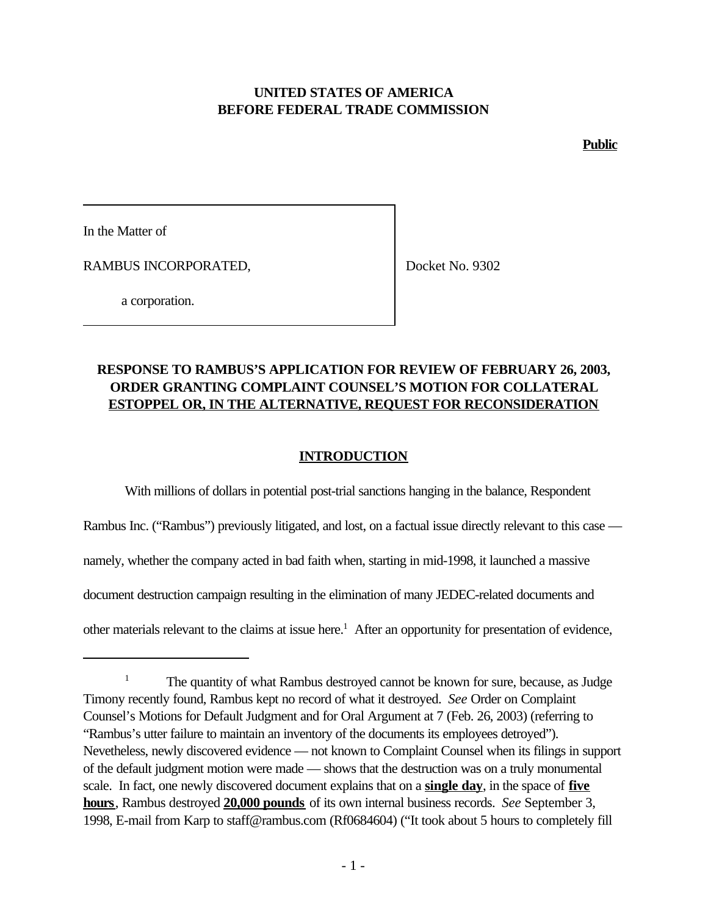## **UNITED STATES OF AMERICA BEFORE FEDERAL TRADE COMMISSION**

**Public**

In the Matter of

RAMBUS INCORPORATED,

Docket No. 9302

a corporation.

# **RESPONSE TO RAMBUS'S APPLICATION FOR REVIEW OF FEBRUARY 26, 2003, ORDER GRANTING COMPLAINT COUNSEL'S MOTION FOR COLLATERAL ESTOPPEL OR, IN THE ALTERNATIVE, REQUEST FOR RECONSIDERATION**

## **INTRODUCTION**

With millions of dollars in potential post-trial sanctions hanging in the balance, Respondent Rambus Inc. ("Rambus") previously litigated, and lost, on a factual issue directly relevant to this case namely, whether the company acted in bad faith when, starting in mid-1998, it launched a massive document destruction campaign resulting in the elimination of many JEDEC-related documents and other materials relevant to the claims at issue here.<sup>1</sup> After an opportunity for presentation of evidence,

<sup>&</sup>lt;sup>1</sup> The quantity of what Rambus destroyed cannot be known for sure, because, as Judge Timony recently found, Rambus kept no record of what it destroyed. *See* Order on Complaint Counsel's Motions for Default Judgment and for Oral Argument at 7 (Feb. 26, 2003) (referring to "Rambus's utter failure to maintain an inventory of the documents its employees detroyed"). Nevetheless, newly discovered evidence — not known to Complaint Counsel when its filings in support of the default judgment motion were made — shows that the destruction was on a truly monumental scale. In fact, one newly discovered document explains that on a **single day**, in the space of **five hours**, Rambus destroyed **20,000 pounds** of its own internal business records. *See* September 3, 1998, E-mail from Karp to staff@rambus.com (Rf0684604) ("It took about 5 hours to completely fill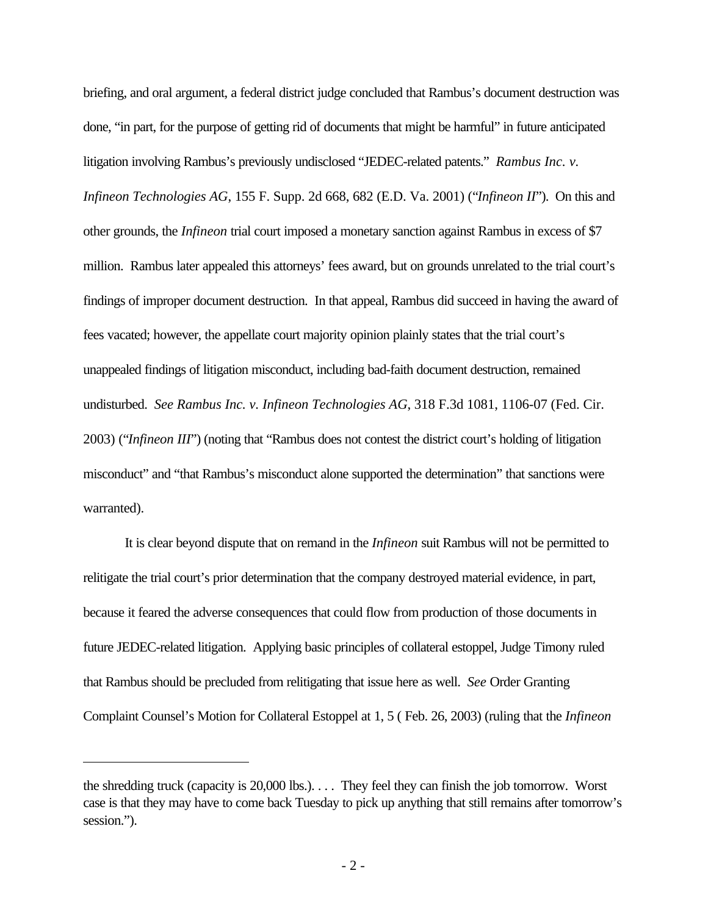briefing, and oral argument, a federal district judge concluded that Rambus's document destruction was done, "in part, for the purpose of getting rid of documents that might be harmful" in future anticipated litigation involving Rambus's previously undisclosed "JEDEC-related patents." *Rambus Inc. v. Infineon Technologies AG*, 155 F. Supp. 2d 668, 682 (E.D. Va. 2001) ("*Infineon II*"). On this and other grounds, the *Infineon* trial court imposed a monetary sanction against Rambus in excess of \$7 million. Rambus later appealed this attorneys' fees award, but on grounds unrelated to the trial court's findings of improper document destruction. In that appeal, Rambus did succeed in having the award of fees vacated; however, the appellate court majority opinion plainly states that the trial court's unappealed findings of litigation misconduct, including bad-faith document destruction, remained undisturbed. *See Rambus Inc. v. Infineon Technologies AG*, 318 F.3d 1081, 1106-07 (Fed. Cir. 2003) ("*Infineon III*") (noting that "Rambus does not contest the district court's holding of litigation misconduct" and "that Rambus's misconduct alone supported the determination" that sanctions were warranted).

It is clear beyond dispute that on remand in the *Infineon* suit Rambus will not be permitted to relitigate the trial court's prior determination that the company destroyed material evidence, in part, because it feared the adverse consequences that could flow from production of those documents in future JEDEC-related litigation. Applying basic principles of collateral estoppel, Judge Timony ruled that Rambus should be precluded from relitigating that issue here as well. *See* Order Granting Complaint Counsel's Motion for Collateral Estoppel at 1, 5 ( Feb. 26, 2003) (ruling that the *Infineon*

the shredding truck (capacity is 20,000 lbs.). . . . They feel they can finish the job tomorrow. Worst case is that they may have to come back Tuesday to pick up anything that still remains after tomorrow's session.").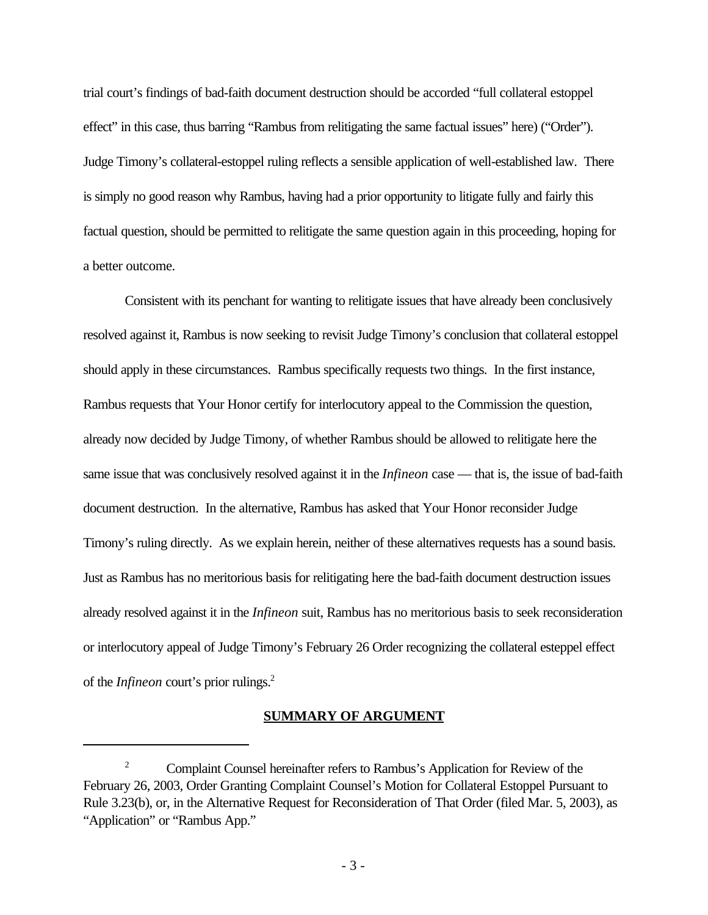trial court's findings of bad-faith document destruction should be accorded "full collateral estoppel effect" in this case, thus barring "Rambus from relitigating the same factual issues" here) ("Order"). Judge Timony's collateral-estoppel ruling reflects a sensible application of well-established law. There is simply no good reason why Rambus, having had a prior opportunity to litigate fully and fairly this factual question, should be permitted to relitigate the same question again in this proceeding, hoping for a better outcome.

Consistent with its penchant for wanting to relitigate issues that have already been conclusively resolved against it, Rambus is now seeking to revisit Judge Timony's conclusion that collateral estoppel should apply in these circumstances. Rambus specifically requests two things. In the first instance, Rambus requests that Your Honor certify for interlocutory appeal to the Commission the question, already now decided by Judge Timony, of whether Rambus should be allowed to relitigate here the same issue that was conclusively resolved against it in the *Infineon* case — that is, the issue of bad-faith document destruction. In the alternative, Rambus has asked that Your Honor reconsider Judge Timony's ruling directly. As we explain herein, neither of these alternatives requests has a sound basis. Just as Rambus has no meritorious basis for relitigating here the bad-faith document destruction issues already resolved against it in the *Infineon* suit, Rambus has no meritorious basis to seek reconsideration or interlocutory appeal of Judge Timony's February 26 Order recognizing the collateral esteppel effect of the *Infineon* court's prior rulings.<sup>2</sup>

### **SUMMARY OF ARGUMENT**

<sup>&</sup>lt;sup>2</sup> Complaint Counsel hereinafter refers to Rambus's Application for Review of the February 26, 2003, Order Granting Complaint Counsel's Motion for Collateral Estoppel Pursuant to Rule 3.23(b), or, in the Alternative Request for Reconsideration of That Order (filed Mar. 5, 2003), as "Application" or "Rambus App."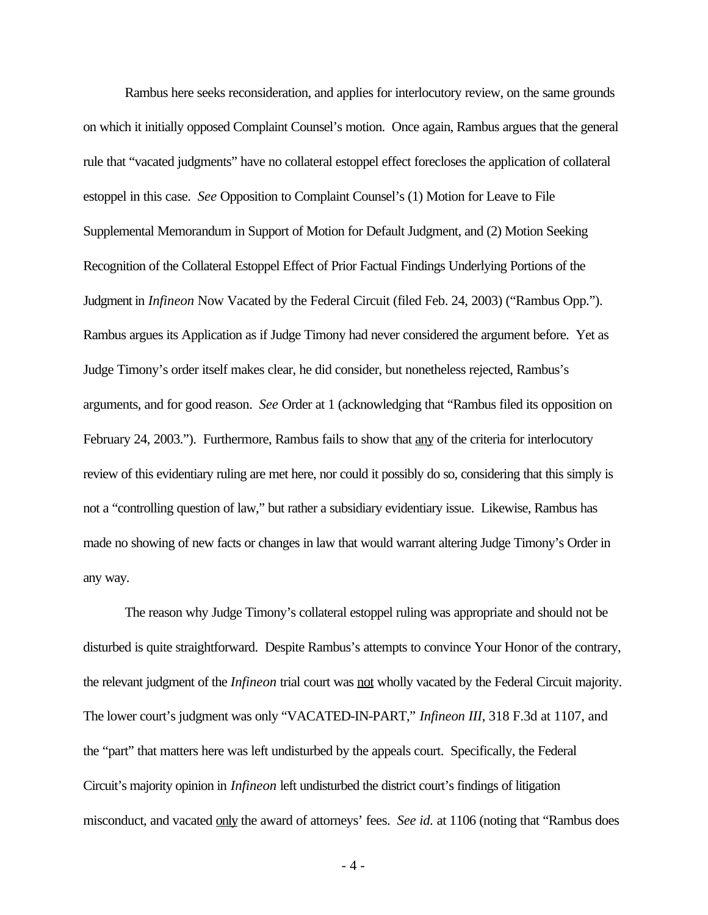Rambus here seeks reconsideration, and applies for interlocutory review, on the same grounds on which it initially opposed Complaint Counsel's motion. Once again, Rambus argues that the general rule that "vacated judgments" have no collateral estoppel effect forecloses the application of collateral estoppel in this case. *See* Opposition to Complaint Counsel's (1) Motion for Leave to File Supplemental Memorandum in Support of Motion for Default Judgment, and (2) Motion Seeking Recognition of the Collateral Estoppel Effect of Prior Factual Findings Underlying Portions of the Judgment in *Infineon* Now Vacated by the Federal Circuit (filed Feb. 24, 2003) ("Rambus Opp."). Rambus argues its Application as if Judge Timony had never considered the argument before. Yet as Judge Timony's order itself makes clear, he did consider, but nonetheless rejected, Rambus's arguments, and for good reason. *See* Order at 1 (acknowledging that "Rambus filed its opposition on February 24, 2003."). Furthermore, Rambus fails to show that any of the criteria for interlocutory review of this evidentiary ruling are met here, nor could it possibly do so, considering that this simply is not a "controlling question of law," but rather a subsidiary evidentiary issue. Likewise, Rambus has made no showing of new facts or changes in law that would warrant altering Judge Timony's Order in any way.

The reason why Judge Timony's collateral estoppel ruling was appropriate and should not be disturbed is quite straightforward. Despite Rambus's attempts to convince Your Honor of the contrary, the relevant judgment of the *Infineon* trial court was not wholly vacated by the Federal Circuit majority. The lower court's judgment was only "VACATED-IN-PART," *Infineon III*, 318 F.3d at 1107, and the "part" that matters here was left undisturbed by the appeals court. Specifically, the Federal Circuit's majority opinion in *Infineon* left undisturbed the district court's findings of litigation misconduct, and vacated only the award of attorneys' fees. *See id.* at 1106 (noting that "Rambus does

- 4 -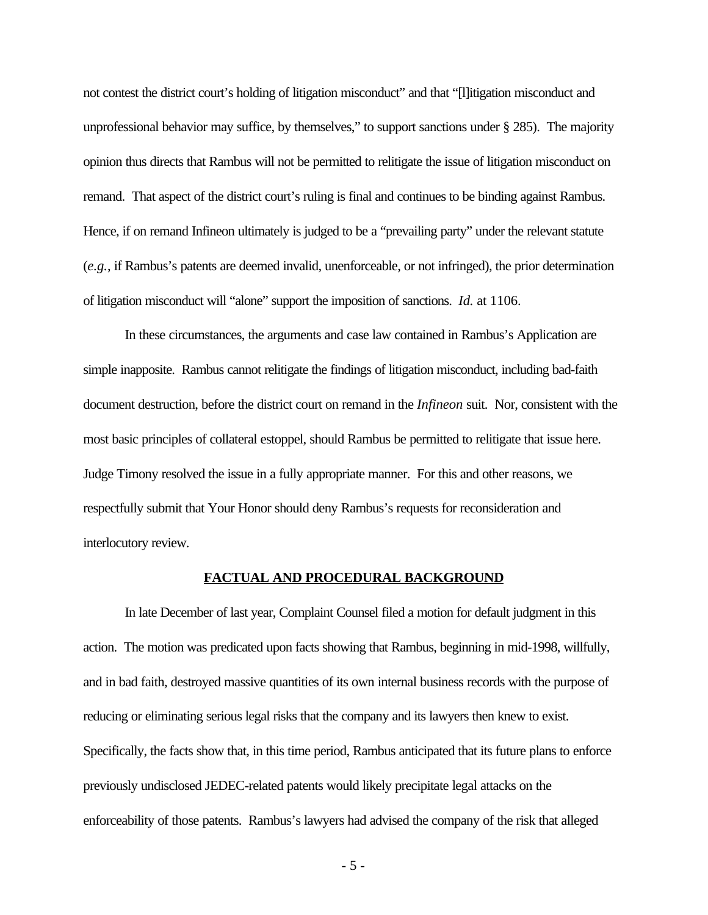not contest the district court's holding of litigation misconduct" and that "[l]itigation misconduct and unprofessional behavior may suffice, by themselves," to support sanctions under § 285). The majority opinion thus directs that Rambus will not be permitted to relitigate the issue of litigation misconduct on remand. That aspect of the district court's ruling is final and continues to be binding against Rambus. Hence, if on remand Infineon ultimately is judged to be a "prevailing party" under the relevant statute (*e.g.*, if Rambus's patents are deemed invalid, unenforceable, or not infringed), the prior determination of litigation misconduct will "alone" support the imposition of sanctions. *Id.* at 1106.

In these circumstances, the arguments and case law contained in Rambus's Application are simple inapposite. Rambus cannot relitigate the findings of litigation misconduct, including bad-faith document destruction, before the district court on remand in the *Infineon* suit. Nor, consistent with the most basic principles of collateral estoppel, should Rambus be permitted to relitigate that issue here. Judge Timony resolved the issue in a fully appropriate manner. For this and other reasons, we respectfully submit that Your Honor should deny Rambus's requests for reconsideration and interlocutory review.

### **FACTUAL AND PROCEDURAL BACKGROUND**

In late December of last year, Complaint Counsel filed a motion for default judgment in this action. The motion was predicated upon facts showing that Rambus, beginning in mid-1998, willfully, and in bad faith, destroyed massive quantities of its own internal business records with the purpose of reducing or eliminating serious legal risks that the company and its lawyers then knew to exist. Specifically, the facts show that, in this time period, Rambus anticipated that its future plans to enforce previously undisclosed JEDEC-related patents would likely precipitate legal attacks on the enforceability of those patents. Rambus's lawyers had advised the company of the risk that alleged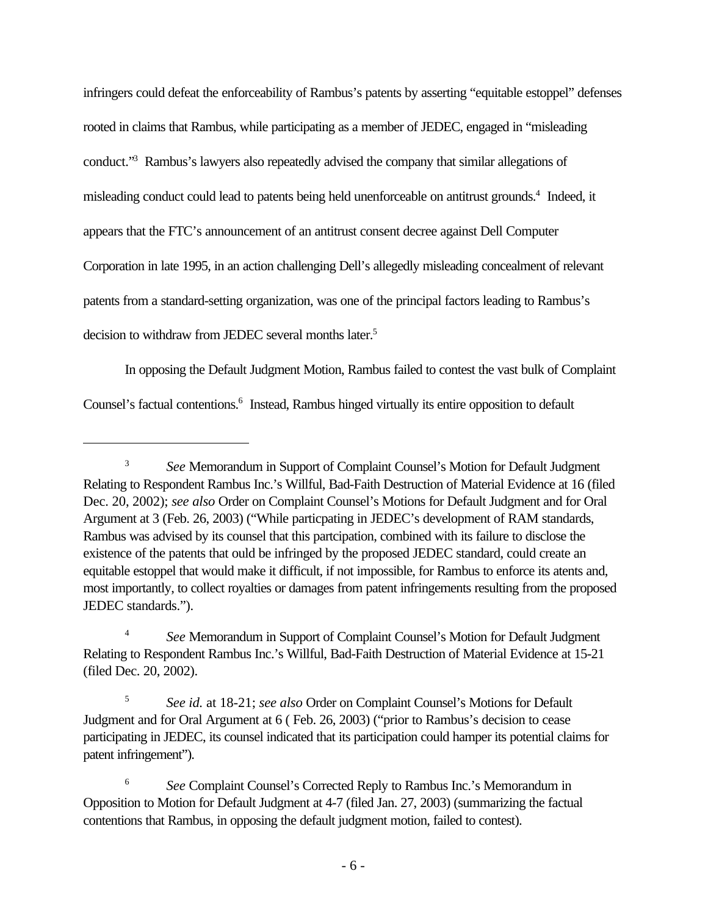infringers could defeat the enforceability of Rambus's patents by asserting "equitable estoppel" defenses rooted in claims that Rambus, while participating as a member of JEDEC, engaged in "misleading conduct."<sup>3</sup> Rambus's lawyers also repeatedly advised the company that similar allegations of misleading conduct could lead to patents being held unenforceable on antitrust grounds.<sup>4</sup> Indeed, it appears that the FTC's announcement of an antitrust consent decree against Dell Computer Corporation in late 1995, in an action challenging Dell's allegedly misleading concealment of relevant patents from a standard-setting organization, was one of the principal factors leading to Rambus's decision to withdraw from JEDEC several months later.<sup>5</sup>

In opposing the Default Judgment Motion, Rambus failed to contest the vast bulk of Complaint Counsel's factual contentions.<sup>6</sup> Instead, Rambus hinged virtually its entire opposition to default

<sup>&</sup>lt;sup>3</sup> *See* Memorandum in Support of Complaint Counsel's Motion for Default Judgment Relating to Respondent Rambus Inc.'s Willful, Bad-Faith Destruction of Material Evidence at 16 (filed Dec. 20, 2002); *see also* Order on Complaint Counsel's Motions for Default Judgment and for Oral Argument at 3 (Feb. 26, 2003) ("While particpating in JEDEC's development of RAM standards, Rambus was advised by its counsel that this partcipation, combined with its failure to disclose the existence of the patents that ould be infringed by the proposed JEDEC standard, could create an equitable estoppel that would make it difficult, if not impossible, for Rambus to enforce its atents and, most importantly, to collect royalties or damages from patent infringements resulting from the proposed JEDEC standards.").

<sup>4</sup> *See* Memorandum in Support of Complaint Counsel's Motion for Default Judgment Relating to Respondent Rambus Inc.'s Willful, Bad-Faith Destruction of Material Evidence at 15-21 (filed Dec. 20, 2002).

<sup>5</sup> *See id.* at 18-21; *see also* Order on Complaint Counsel's Motions for Default Judgment and for Oral Argument at 6 ( Feb. 26, 2003) ("prior to Rambus's decision to cease participating in JEDEC, its counsel indicated that its participation could hamper its potential claims for patent infringement").

<sup>6</sup> *See* Complaint Counsel's Corrected Reply to Rambus Inc.'s Memorandum in Opposition to Motion for Default Judgment at 4-7 (filed Jan. 27, 2003) (summarizing the factual contentions that Rambus, in opposing the default judgment motion, failed to contest).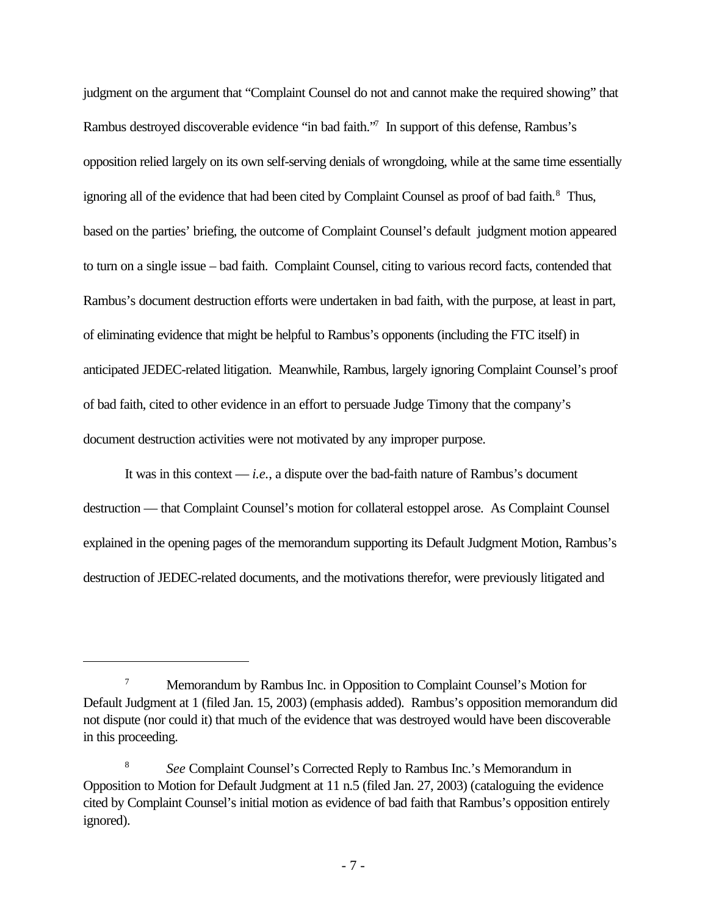judgment on the argument that "Complaint Counsel do not and cannot make the required showing" that Rambus destroyed discoverable evidence "in bad faith."<sup>7</sup> In support of this defense, Rambus's opposition relied largely on its own self-serving denials of wrongdoing, while at the same time essentially ignoring all of the evidence that had been cited by Complaint Counsel as proof of bad faith.<sup>8</sup> Thus, based on the parties' briefing, the outcome of Complaint Counsel's default judgment motion appeared to turn on a single issue – bad faith. Complaint Counsel, citing to various record facts, contended that Rambus's document destruction efforts were undertaken in bad faith, with the purpose, at least in part, of eliminating evidence that might be helpful to Rambus's opponents (including the FTC itself) in anticipated JEDEC-related litigation. Meanwhile, Rambus, largely ignoring Complaint Counsel's proof of bad faith, cited to other evidence in an effort to persuade Judge Timony that the company's document destruction activities were not motivated by any improper purpose.

It was in this context — *i.e.*, a dispute over the bad-faith nature of Rambus's document destruction — that Complaint Counsel's motion for collateral estoppel arose. As Complaint Counsel explained in the opening pages of the memorandum supporting its Default Judgment Motion, Rambus's destruction of JEDEC-related documents, and the motivations therefor, were previously litigated and

<sup>&</sup>lt;sup>7</sup> Memorandum by Rambus Inc. in Opposition to Complaint Counsel's Motion for Default Judgment at 1 (filed Jan. 15, 2003) (emphasis added). Rambus's opposition memorandum did not dispute (nor could it) that much of the evidence that was destroyed would have been discoverable in this proceeding.

<sup>8</sup> *See* Complaint Counsel's Corrected Reply to Rambus Inc.'s Memorandum in Opposition to Motion for Default Judgment at 11 n.5 (filed Jan. 27, 2003) (cataloguing the evidence cited by Complaint Counsel's initial motion as evidence of bad faith that Rambus's opposition entirely ignored).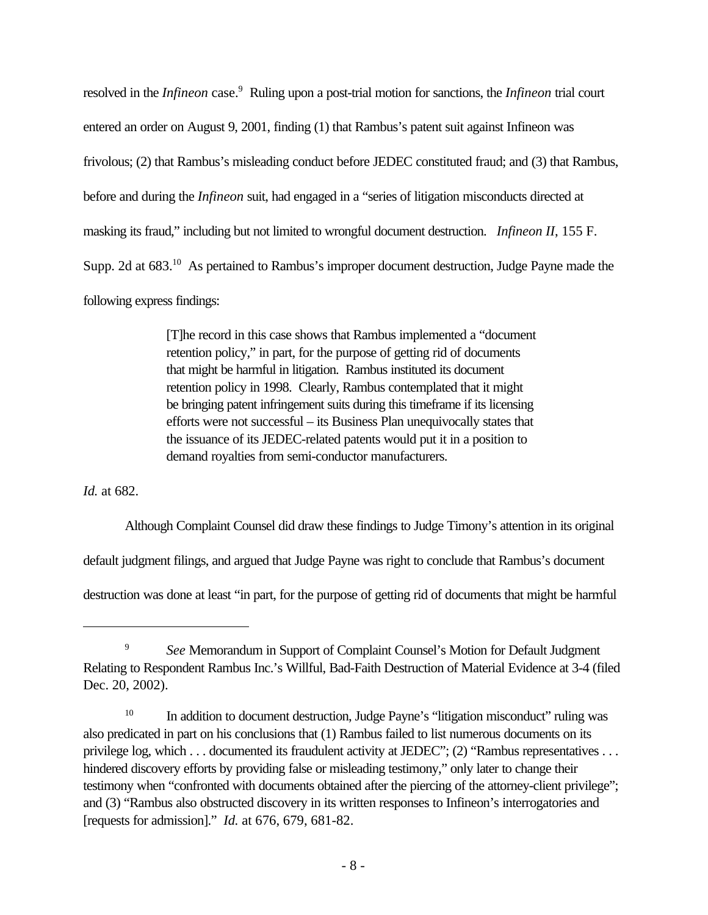resolved in the *Infineon* case.<sup>9</sup> Ruling upon a post-trial motion for sanctions, the *Infineon* trial court entered an order on August 9, 2001, finding (1) that Rambus's patent suit against Infineon was frivolous; (2) that Rambus's misleading conduct before JEDEC constituted fraud; and (3) that Rambus, before and during the *Infineon* suit, had engaged in a "series of litigation misconducts directed at masking its fraud," including but not limited to wrongful document destruction. *Infineon II*, 155 F. Supp. 2d at 683.<sup>10</sup> As pertained to Rambus's improper document destruction, Judge Payne made the following express findings:

> [T]he record in this case shows that Rambus implemented a "document retention policy," in part, for the purpose of getting rid of documents that might be harmful in litigation. Rambus instituted its document retention policy in 1998. Clearly, Rambus contemplated that it might be bringing patent infringement suits during this timeframe if its licensing efforts were not successful – its Business Plan unequivocally states that the issuance of its JEDEC-related patents would put it in a position to demand royalties from semi-conductor manufacturers.

*Id.* at 682.

Although Complaint Counsel did draw these findings to Judge Timony's attention in its original

default judgment filings, and argued that Judge Payne was right to conclude that Rambus's document

destruction was done at least "in part, for the purpose of getting rid of documents that might be harmful

<sup>9</sup> *See* Memorandum in Support of Complaint Counsel's Motion for Default Judgment Relating to Respondent Rambus Inc.'s Willful, Bad-Faith Destruction of Material Evidence at 3-4 (filed Dec. 20, 2002).

<sup>&</sup>lt;sup>10</sup> In addition to document destruction, Judge Payne's "litigation misconduct" ruling was also predicated in part on his conclusions that (1) Rambus failed to list numerous documents on its privilege log, which . . . documented its fraudulent activity at JEDEC"; (2) "Rambus representatives . . . hindered discovery efforts by providing false or misleading testimony," only later to change their testimony when "confronted with documents obtained after the piercing of the attorney-client privilege"; and (3) "Rambus also obstructed discovery in its written responses to Infineon's interrogatories and [requests for admission]." *Id.* at 676, 679, 681-82.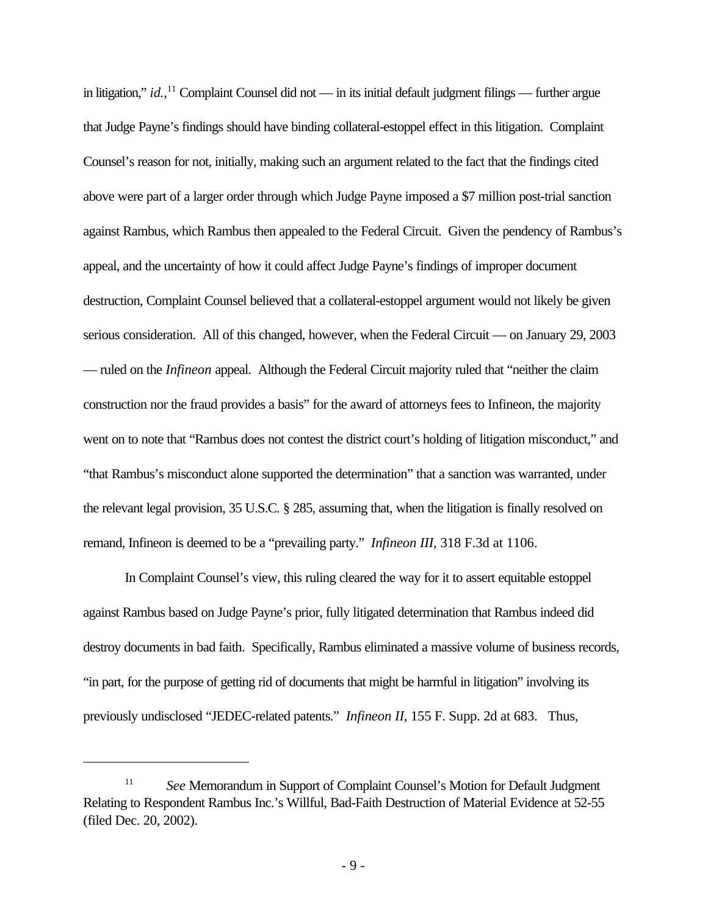in litigation," *id.*, <sup>11</sup> Complaint Counsel did not — in its initial default judgment filings — further argue that Judge Payne's findings should have binding collateral-estoppel effect in this litigation. Complaint Counsel's reason for not, initially, making such an argument related to the fact that the findings cited above were part of a larger order through which Judge Payne imposed a \$7 million post-trial sanction against Rambus, which Rambus then appealed to the Federal Circuit. Given the pendency of Rambus's appeal, and the uncertainty of how it could affect Judge Payne's findings of improper document destruction, Complaint Counsel believed that a collateral-estoppel argument would not likely be given serious consideration. All of this changed, however, when the Federal Circuit — on January 29, 2003 — ruled on the *Infineon* appeal. Although the Federal Circuit majority ruled that "neither the claim construction nor the fraud provides a basis" for the award of attorneys fees to Infineon, the majority went on to note that "Rambus does not contest the district court's holding of litigation misconduct," and "that Rambus's misconduct alone supported the determination" that a sanction was warranted, under the relevant legal provision, 35 U.S.C. § 285, assuming that, when the litigation is finally resolved on remand, Infineon is deemed to be a "prevailing party." *Infineon III*, 318 F.3d at 1106.

In Complaint Counsel's view, this ruling cleared the way for it to assert equitable estoppel against Rambus based on Judge Payne's prior, fully litigated determination that Rambus indeed did destroy documents in bad faith. Specifically, Rambus eliminated a massive volume of business records, "in part, for the purpose of getting rid of documents that might be harmful in litigation" involving its previously undisclosed "JEDEC-related patents." *Infineon II*, 155 F. Supp. 2d at 683. Thus,

<sup>11</sup> *See* Memorandum in Support of Complaint Counsel's Motion for Default Judgment Relating to Respondent Rambus Inc.'s Willful, Bad-Faith Destruction of Material Evidence at 52-55 (filed Dec. 20, 2002).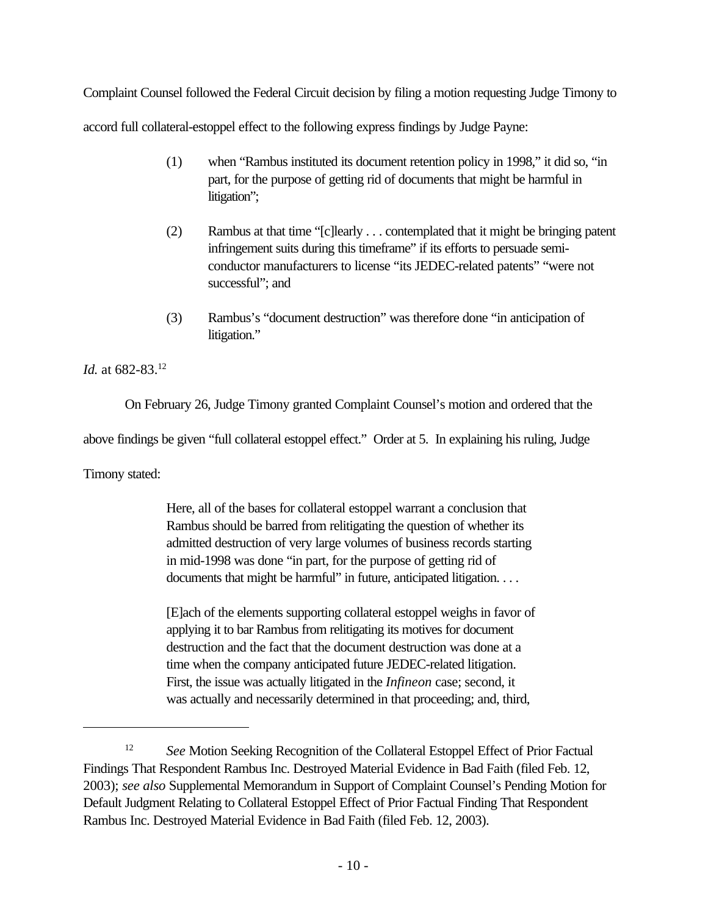Complaint Counsel followed the Federal Circuit decision by filing a motion requesting Judge Timony to accord full collateral-estoppel effect to the following express findings by Judge Payne:

- (1) when "Rambus instituted its document retention policy in 1998," it did so, "in part, for the purpose of getting rid of documents that might be harmful in litigation";
- (2) Rambus at that time "[c]learly . . . contemplated that it might be bringing patent infringement suits during this timeframe" if its efforts to persuade semiconductor manufacturers to license "its JEDEC-related patents" "were not successful"; and
- (3) Rambus's "document destruction" was therefore done "in anticipation of litigation."

*Id.* at 682-83.<sup>12</sup>

On February 26, Judge Timony granted Complaint Counsel's motion and ordered that the

above findings be given "full collateral estoppel effect." Order at 5. In explaining his ruling, Judge

Timony stated:

Here, all of the bases for collateral estoppel warrant a conclusion that Rambus should be barred from relitigating the question of whether its admitted destruction of very large volumes of business records starting in mid-1998 was done "in part, for the purpose of getting rid of documents that might be harmful" in future, anticipated litigation. . . .

[E]ach of the elements supporting collateral estoppel weighs in favor of applying it to bar Rambus from relitigating its motives for document destruction and the fact that the document destruction was done at a time when the company anticipated future JEDEC-related litigation. First, the issue was actually litigated in the *Infineon* case; second, it was actually and necessarily determined in that proceeding; and, third,

<sup>&</sup>lt;sup>12</sup> *See* Motion Seeking Recognition of the Collateral Estoppel Effect of Prior Factual Findings That Respondent Rambus Inc. Destroyed Material Evidence in Bad Faith (filed Feb. 12, 2003); *see also* Supplemental Memorandum in Support of Complaint Counsel's Pending Motion for Default Judgment Relating to Collateral Estoppel Effect of Prior Factual Finding That Respondent Rambus Inc. Destroyed Material Evidence in Bad Faith (filed Feb. 12, 2003).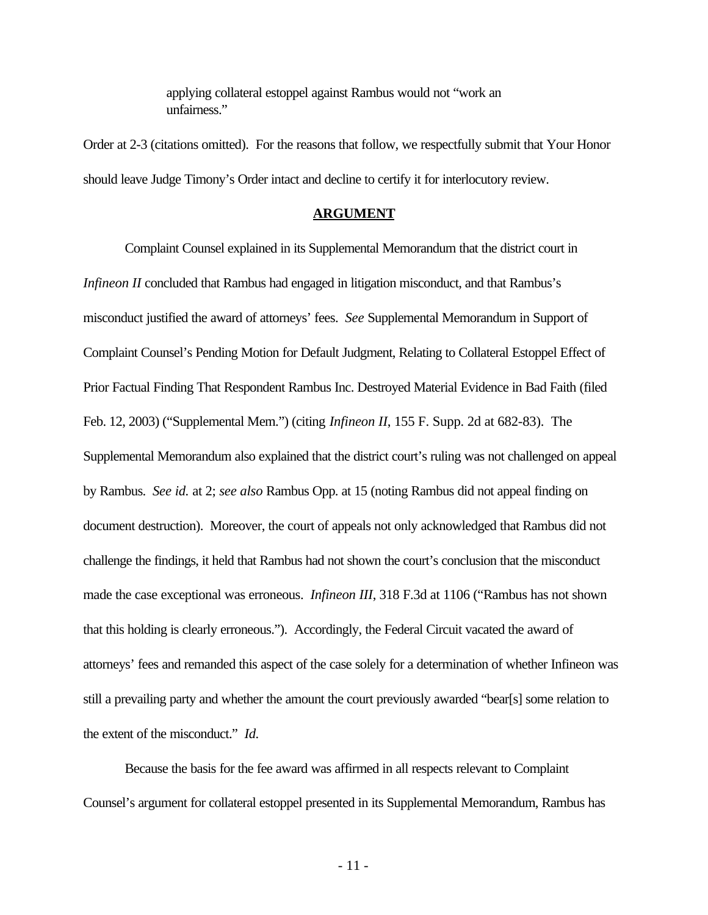applying collateral estoppel against Rambus would not "work an unfairness."

Order at 2-3 (citations omitted). For the reasons that follow, we respectfully submit that Your Honor should leave Judge Timony's Order intact and decline to certify it for interlocutory review.

#### **ARGUMENT**

Complaint Counsel explained in its Supplemental Memorandum that the district court in *Infineon II* concluded that Rambus had engaged in litigation misconduct, and that Rambus's misconduct justified the award of attorneys' fees. *See* Supplemental Memorandum in Support of Complaint Counsel's Pending Motion for Default Judgment, Relating to Collateral Estoppel Effect of Prior Factual Finding That Respondent Rambus Inc. Destroyed Material Evidence in Bad Faith (filed Feb. 12, 2003) ("Supplemental Mem.") (citing *Infineon II*, 155 F. Supp. 2d at 682-83). The Supplemental Memorandum also explained that the district court's ruling was not challenged on appeal by Rambus. *See id.* at 2; *see also* Rambus Opp. at 15 (noting Rambus did not appeal finding on document destruction). Moreover, the court of appeals not only acknowledged that Rambus did not challenge the findings, it held that Rambus had not shown the court's conclusion that the misconduct made the case exceptional was erroneous. *Infineon III*, 318 F.3d at 1106 ("Rambus has not shown that this holding is clearly erroneous."). Accordingly, the Federal Circuit vacated the award of attorneys' fees and remanded this aspect of the case solely for a determination of whether Infineon was still a prevailing party and whether the amount the court previously awarded "bear[s] some relation to the extent of the misconduct." *Id.*

Because the basis for the fee award was affirmed in all respects relevant to Complaint Counsel's argument for collateral estoppel presented in its Supplemental Memorandum, Rambus has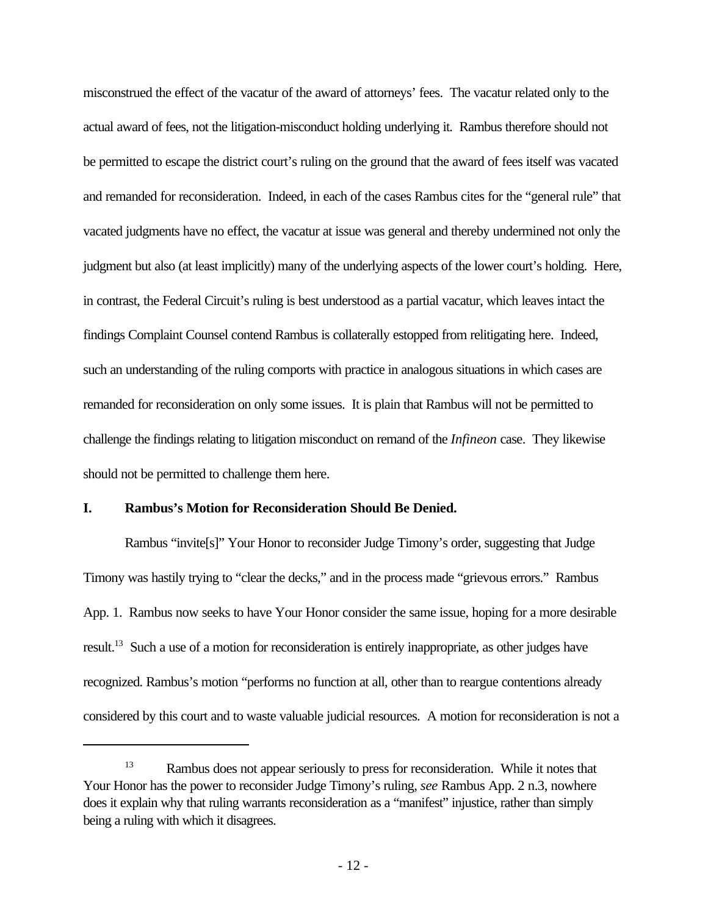misconstrued the effect of the vacatur of the award of attorneys' fees. The vacatur related only to the actual award of fees, not the litigation-misconduct holding underlying it. Rambus therefore should not be permitted to escape the district court's ruling on the ground that the award of fees itself was vacated and remanded for reconsideration. Indeed, in each of the cases Rambus cites for the "general rule" that vacated judgments have no effect, the vacatur at issue was general and thereby undermined not only the judgment but also (at least implicitly) many of the underlying aspects of the lower court's holding. Here, in contrast, the Federal Circuit's ruling is best understood as a partial vacatur, which leaves intact the findings Complaint Counsel contend Rambus is collaterally estopped from relitigating here. Indeed, such an understanding of the ruling comports with practice in analogous situations in which cases are remanded for reconsideration on only some issues. It is plain that Rambus will not be permitted to challenge the findings relating to litigation misconduct on remand of the *Infineon* case. They likewise should not be permitted to challenge them here.

## **I. Rambus's Motion for Reconsideration Should Be Denied.**

Rambus "invite[s]" Your Honor to reconsider Judge Timony's order, suggesting that Judge Timony was hastily trying to "clear the decks," and in the process made "grievous errors." Rambus App. 1. Rambus now seeks to have Your Honor consider the same issue, hoping for a more desirable result.<sup>13</sup> Such a use of a motion for reconsideration is entirely inappropriate, as other judges have recognized. Rambus's motion "performs no function at all, other than to reargue contentions already considered by this court and to waste valuable judicial resources. A motion for reconsideration is not a

<sup>&</sup>lt;sup>13</sup> Rambus does not appear seriously to press for reconsideration. While it notes that Your Honor has the power to reconsider Judge Timony's ruling, *see* Rambus App. 2 n.3, nowhere does it explain why that ruling warrants reconsideration as a "manifest" injustice, rather than simply being a ruling with which it disagrees.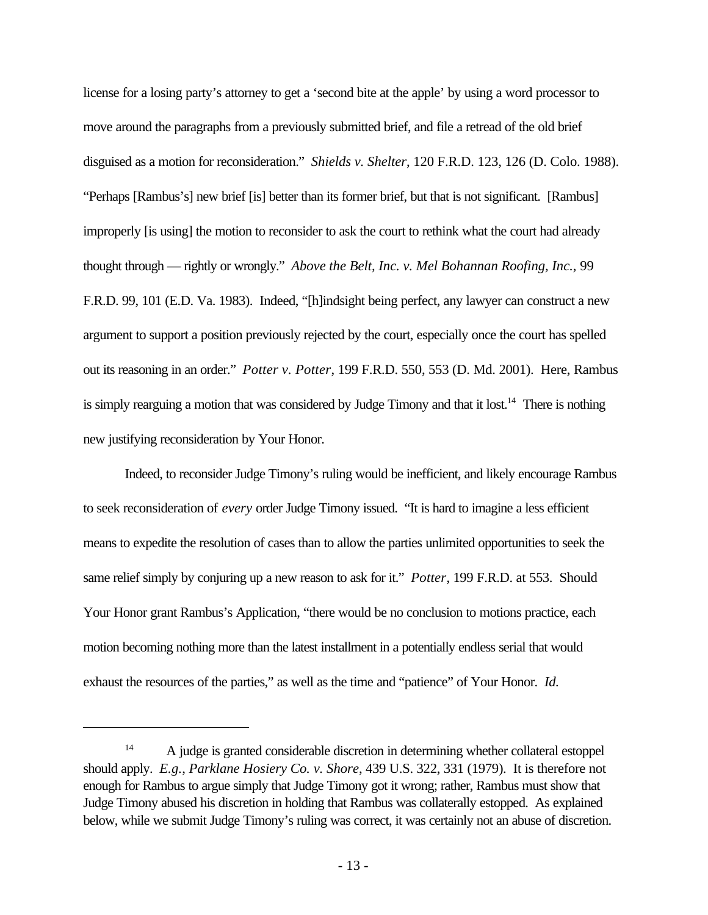license for a losing party's attorney to get a 'second bite at the apple' by using a word processor to move around the paragraphs from a previously submitted brief, and file a retread of the old brief disguised as a motion for reconsideration." *Shields v. Shelter*, 120 F.R.D. 123, 126 (D. Colo. 1988). "Perhaps [Rambus's] new brief [is] better than its former brief, but that is not significant. [Rambus] improperly [is using] the motion to reconsider to ask the court to rethink what the court had already thought through — rightly or wrongly." *Above the Belt, Inc. v. Mel Bohannan Roofing, Inc.*, 99 F.R.D. 99, 101 (E.D. Va. 1983). Indeed, "[h]indsight being perfect, any lawyer can construct a new argument to support a position previously rejected by the court, especially once the court has spelled out its reasoning in an order." *Potter v. Potter*, 199 F.R.D. 550, 553 (D. Md. 2001). Here, Rambus is simply rearguing a motion that was considered by Judge Timony and that it lost.<sup>14</sup> There is nothing new justifying reconsideration by Your Honor.

Indeed, to reconsider Judge Timony's ruling would be inefficient, and likely encourage Rambus to seek reconsideration of *every* order Judge Timony issued. "It is hard to imagine a less efficient means to expedite the resolution of cases than to allow the parties unlimited opportunities to seek the same relief simply by conjuring up a new reason to ask for it." *Potter*, 199 F.R.D. at 553. Should Your Honor grant Rambus's Application, "there would be no conclusion to motions practice, each motion becoming nothing more than the latest installment in a potentially endless serial that would exhaust the resources of the parties," as well as the time and "patience" of Your Honor. *Id.*

<sup>&</sup>lt;sup>14</sup> A judge is granted considerable discretion in determining whether collateral estoppel should apply. *E.g.*, *Parklane Hosiery Co. v. Shore*, 439 U.S. 322, 331 (1979). It is therefore not enough for Rambus to argue simply that Judge Timony got it wrong; rather, Rambus must show that Judge Timony abused his discretion in holding that Rambus was collaterally estopped. As explained below, while we submit Judge Timony's ruling was correct, it was certainly not an abuse of discretion.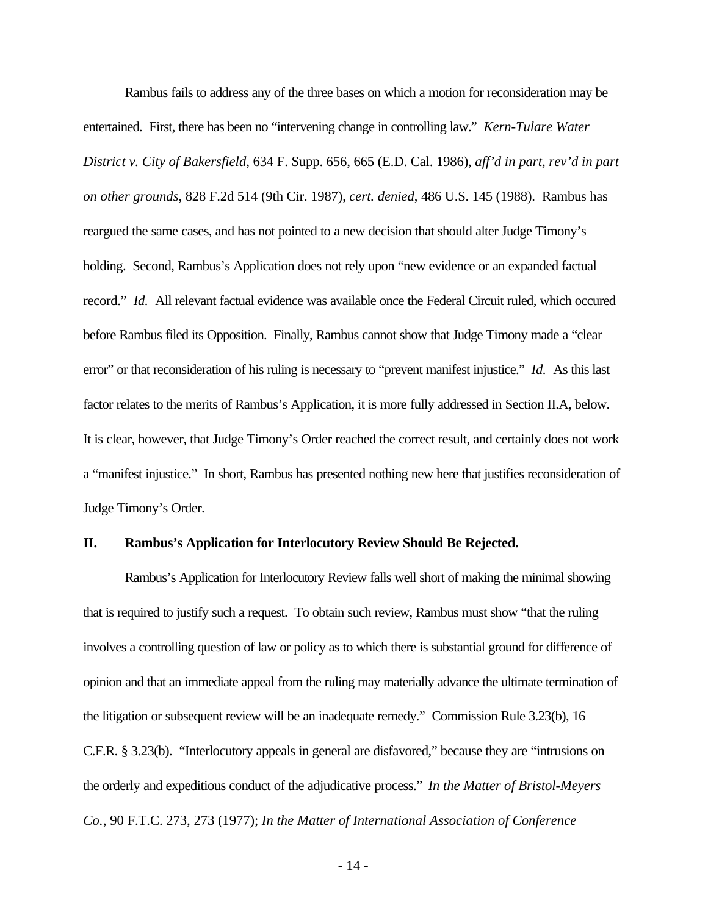Rambus fails to address any of the three bases on which a motion for reconsideration may be entertained. First, there has been no "intervening change in controlling law." *Kern-Tulare Water District v. City of Bakersfield*, 634 F. Supp. 656, 665 (E.D. Cal. 1986), *aff'd in part, rev'd in part on other grounds*, 828 F.2d 514 (9th Cir. 1987), *cert. denied*, 486 U.S. 145 (1988). Rambus has reargued the same cases, and has not pointed to a new decision that should alter Judge Timony's holding. Second, Rambus's Application does not rely upon "new evidence or an expanded factual record." *Id.* All relevant factual evidence was available once the Federal Circuit ruled, which occured before Rambus filed its Opposition. Finally, Rambus cannot show that Judge Timony made a "clear error" or that reconsideration of his ruling is necessary to "prevent manifest injustice." *Id.* As this last factor relates to the merits of Rambus's Application, it is more fully addressed in Section II.A, below. It is clear, however, that Judge Timony's Order reached the correct result, and certainly does not work a "manifest injustice." In short, Rambus has presented nothing new here that justifies reconsideration of Judge Timony's Order.

## **II. Rambus's Application for Interlocutory Review Should Be Rejected.**

Rambus's Application for Interlocutory Review falls well short of making the minimal showing that is required to justify such a request. To obtain such review, Rambus must show "that the ruling involves a controlling question of law or policy as to which there is substantial ground for difference of opinion and that an immediate appeal from the ruling may materially advance the ultimate termination of the litigation or subsequent review will be an inadequate remedy." Commission Rule 3.23(b), 16 C.F.R. § 3.23(b). "Interlocutory appeals in general are disfavored," because they are "intrusions on the orderly and expeditious conduct of the adjudicative process." *In the Matter of Bristol-Meyers Co.*, 90 F.T.C. 273, 273 (1977); *In the Matter of International Association of Conference*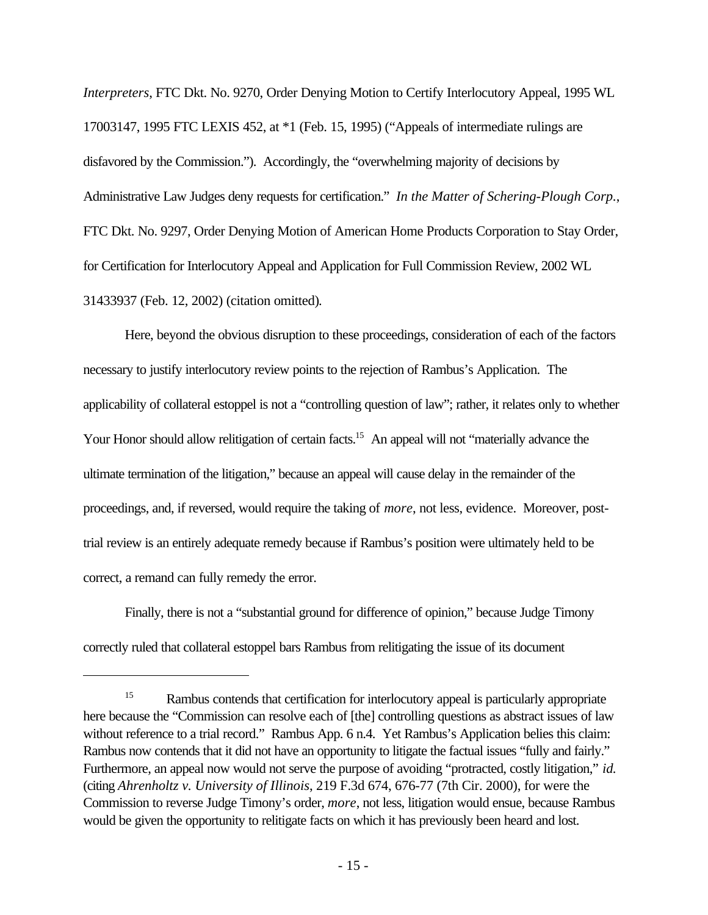*Interpreters*, FTC Dkt. No. 9270, Order Denying Motion to Certify Interlocutory Appeal, 1995 WL 17003147, 1995 FTC LEXIS 452, at \*1 (Feb. 15, 1995) ("Appeals of intermediate rulings are disfavored by the Commission."). Accordingly, the "overwhelming majority of decisions by Administrative Law Judges deny requests for certification." *In the Matter of Schering-Plough Corp.*, FTC Dkt. No. 9297, Order Denying Motion of American Home Products Corporation to Stay Order, for Certification for Interlocutory Appeal and Application for Full Commission Review, 2002 WL 31433937 (Feb. 12, 2002) (citation omitted)*.*

Here, beyond the obvious disruption to these proceedings, consideration of each of the factors necessary to justify interlocutory review points to the rejection of Rambus's Application. The applicability of collateral estoppel is not a "controlling question of law"; rather, it relates only to whether Your Honor should allow relitigation of certain facts.<sup>15</sup> An appeal will not "materially advance the ultimate termination of the litigation," because an appeal will cause delay in the remainder of the proceedings, and, if reversed, would require the taking of *more*, not less, evidence. Moreover, posttrial review is an entirely adequate remedy because if Rambus's position were ultimately held to be correct, a remand can fully remedy the error.

Finally, there is not a "substantial ground for difference of opinion," because Judge Timony correctly ruled that collateral estoppel bars Rambus from relitigating the issue of its document

<sup>&</sup>lt;sup>15</sup> Rambus contends that certification for interlocutory appeal is particularly appropriate here because the "Commission can resolve each of [the] controlling questions as abstract issues of law without reference to a trial record." Rambus App. 6 n.4. Yet Rambus's Application belies this claim: Rambus now contends that it did not have an opportunity to litigate the factual issues "fully and fairly." Furthermore, an appeal now would not serve the purpose of avoiding "protracted, costly litigation," *id.* (citing *Ahrenholtz v. University of Illinois*, 219 F.3d 674, 676-77 (7th Cir. 2000), for were the Commission to reverse Judge Timony's order, *more*, not less, litigation would ensue, because Rambus would be given the opportunity to relitigate facts on which it has previously been heard and lost.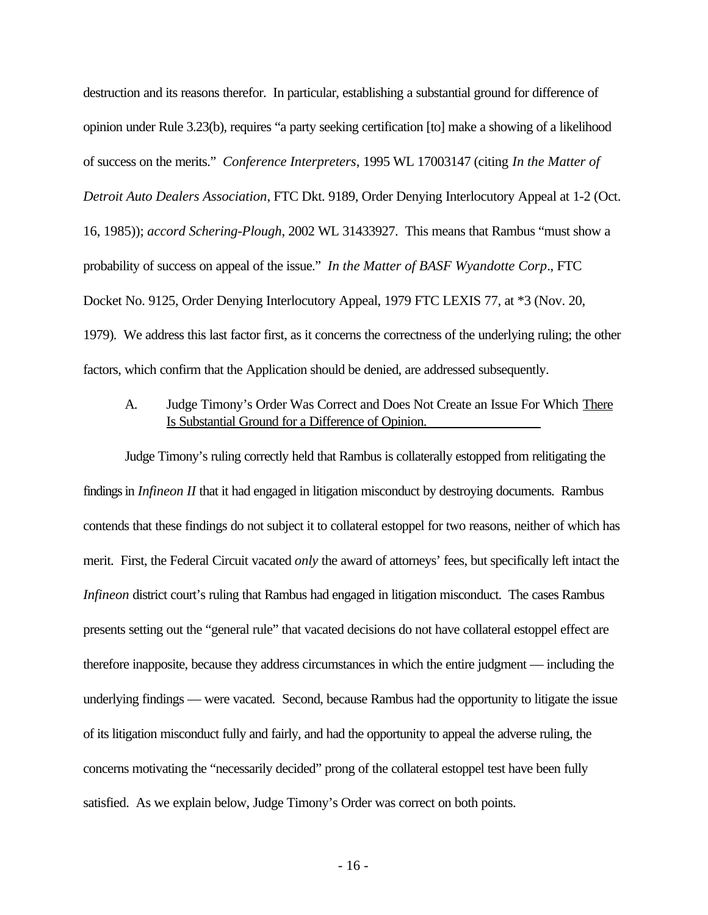destruction and its reasons therefor. In particular, establishing a substantial ground for difference of opinion under Rule 3.23(b), requires "a party seeking certification [to] make a showing of a likelihood of success on the merits." *Conference Interpreters*, 1995 WL 17003147 (citing *In the Matter of Detroit Auto Dealers Association*, FTC Dkt. 9189, Order Denying Interlocutory Appeal at 1-2 (Oct. 16, 1985)); *accord Schering-Plough*, 2002 WL 31433927. This means that Rambus "must show a probability of success on appeal of the issue." *In the Matter of BASF Wyandotte Corp*., FTC Docket No. 9125, Order Denying Interlocutory Appeal, 1979 FTC LEXIS 77, at \*3 (Nov. 20, 1979). We address this last factor first, as it concerns the correctness of the underlying ruling; the other factors, which confirm that the Application should be denied, are addressed subsequently.

# A. Judge Timony's Order Was Correct and Does Not Create an Issue For Which There Is Substantial Ground for a Difference of Opinion.

Judge Timony's ruling correctly held that Rambus is collaterally estopped from relitigating the findings in *Infineon II* that it had engaged in litigation misconduct by destroying documents. Rambus contends that these findings do not subject it to collateral estoppel for two reasons, neither of which has merit. First, the Federal Circuit vacated *only* the award of attorneys' fees, but specifically left intact the *Infineon* district court's ruling that Rambus had engaged in litigation misconduct. The cases Rambus presents setting out the "general rule" that vacated decisions do not have collateral estoppel effect are therefore inapposite, because they address circumstances in which the entire judgment — including the underlying findings — were vacated. Second, because Rambus had the opportunity to litigate the issue of its litigation misconduct fully and fairly, and had the opportunity to appeal the adverse ruling, the concerns motivating the "necessarily decided" prong of the collateral estoppel test have been fully satisfied. As we explain below, Judge Timony's Order was correct on both points.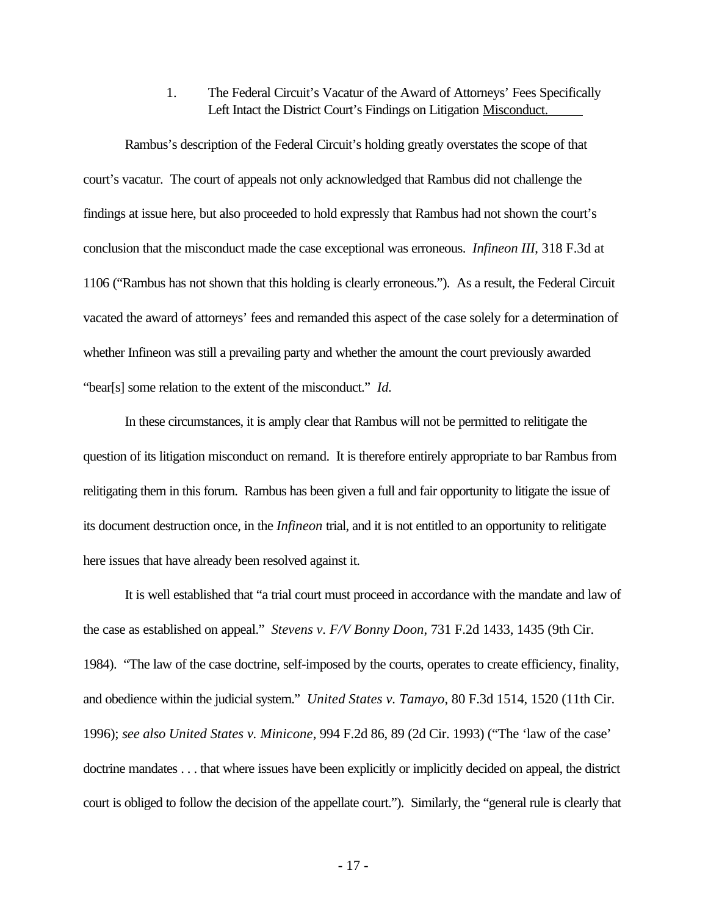1. The Federal Circuit's Vacatur of the Award of Attorneys' Fees Specifically Left Intact the District Court's Findings on Litigation Misconduct.

Rambus's description of the Federal Circuit's holding greatly overstates the scope of that court's vacatur. The court of appeals not only acknowledged that Rambus did not challenge the findings at issue here, but also proceeded to hold expressly that Rambus had not shown the court's conclusion that the misconduct made the case exceptional was erroneous. *Infineon III*, 318 F.3d at 1106 ("Rambus has not shown that this holding is clearly erroneous."). As a result, the Federal Circuit vacated the award of attorneys' fees and remanded this aspect of the case solely for a determination of whether Infineon was still a prevailing party and whether the amount the court previously awarded "bear[s] some relation to the extent of the misconduct." *Id.*

In these circumstances, it is amply clear that Rambus will not be permitted to relitigate the question of its litigation misconduct on remand. It is therefore entirely appropriate to bar Rambus from relitigating them in this forum. Rambus has been given a full and fair opportunity to litigate the issue of its document destruction once, in the *Infineon* trial, and it is not entitled to an opportunity to relitigate here issues that have already been resolved against it.

It is well established that "a trial court must proceed in accordance with the mandate and law of the case as established on appeal." *Stevens v. F/V Bonny Doon*, 731 F.2d 1433, 1435 (9th Cir. 1984). "The law of the case doctrine, self-imposed by the courts, operates to create efficiency, finality, and obedience within the judicial system." *United States v. Tamayo*, 80 F.3d 1514, 1520 (11th Cir. 1996); *see also United States v. Minicone*, 994 F.2d 86, 89 (2d Cir. 1993) ("The 'law of the case' doctrine mandates . . . that where issues have been explicitly or implicitly decided on appeal, the district court is obliged to follow the decision of the appellate court."). Similarly, the "general rule is clearly that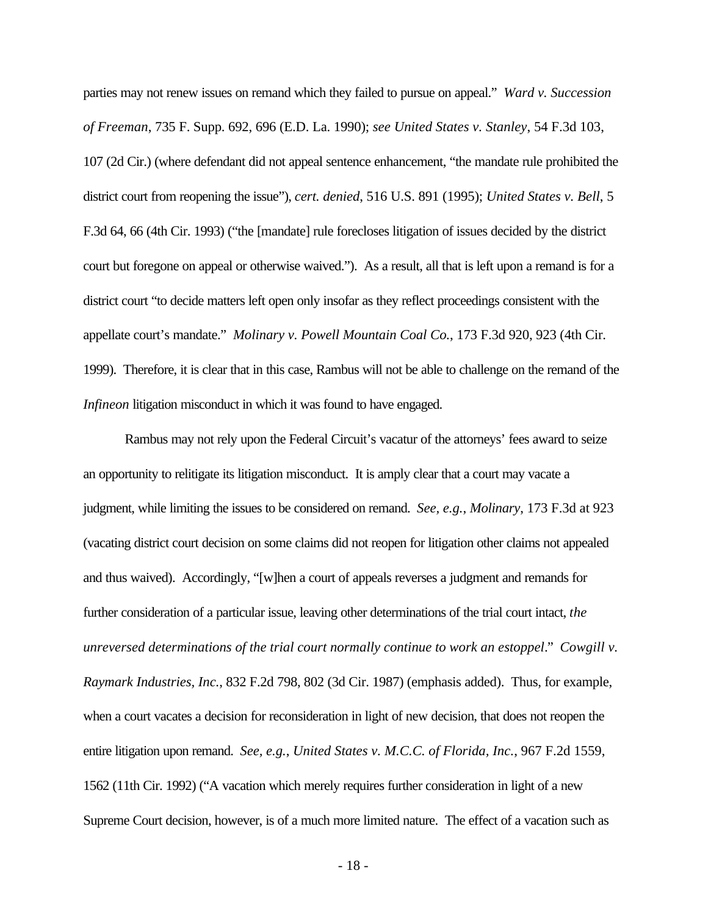parties may not renew issues on remand which they failed to pursue on appeal." *Ward v. Succession of Freeman*, 735 F. Supp. 692, 696 (E.D. La. 1990); *see United States v. Stanley*, 54 F.3d 103, 107 (2d Cir.) (where defendant did not appeal sentence enhancement, "the mandate rule prohibited the district court from reopening the issue"), *cert. denied*, 516 U.S. 891 (1995); *United States v. Bell*, 5 F.3d 64, 66 (4th Cir. 1993) ("the [mandate] rule forecloses litigation of issues decided by the district court but foregone on appeal or otherwise waived."). As a result, all that is left upon a remand is for a district court "to decide matters left open only insofar as they reflect proceedings consistent with the appellate court's mandate." *Molinary v. Powell Mountain Coal Co.*, 173 F.3d 920, 923 (4th Cir. 1999). Therefore, it is clear that in this case, Rambus will not be able to challenge on the remand of the *Infineon* litigation misconduct in which it was found to have engaged.

Rambus may not rely upon the Federal Circuit's vacatur of the attorneys' fees award to seize an opportunity to relitigate its litigation misconduct. It is amply clear that a court may vacate a judgment, while limiting the issues to be considered on remand. *See, e.g.*, *Molinary*, 173 F.3d at 923 (vacating district court decision on some claims did not reopen for litigation other claims not appealed and thus waived). Accordingly, "[w]hen a court of appeals reverses a judgment and remands for further consideration of a particular issue, leaving other determinations of the trial court intact, *the unreversed determinations of the trial court normally continue to work an estoppel*." *Cowgill v. Raymark Industries, Inc.*, 832 F.2d 798, 802 (3d Cir. 1987) (emphasis added). Thus, for example, when a court vacates a decision for reconsideration in light of new decision, that does not reopen the entire litigation upon remand. *See, e.g.*, *United States v. M.C.C. of Florida, Inc.*, 967 F.2d 1559, 1562 (11th Cir. 1992) ("A vacation which merely requires further consideration in light of a new Supreme Court decision, however, is of a much more limited nature. The effect of a vacation such as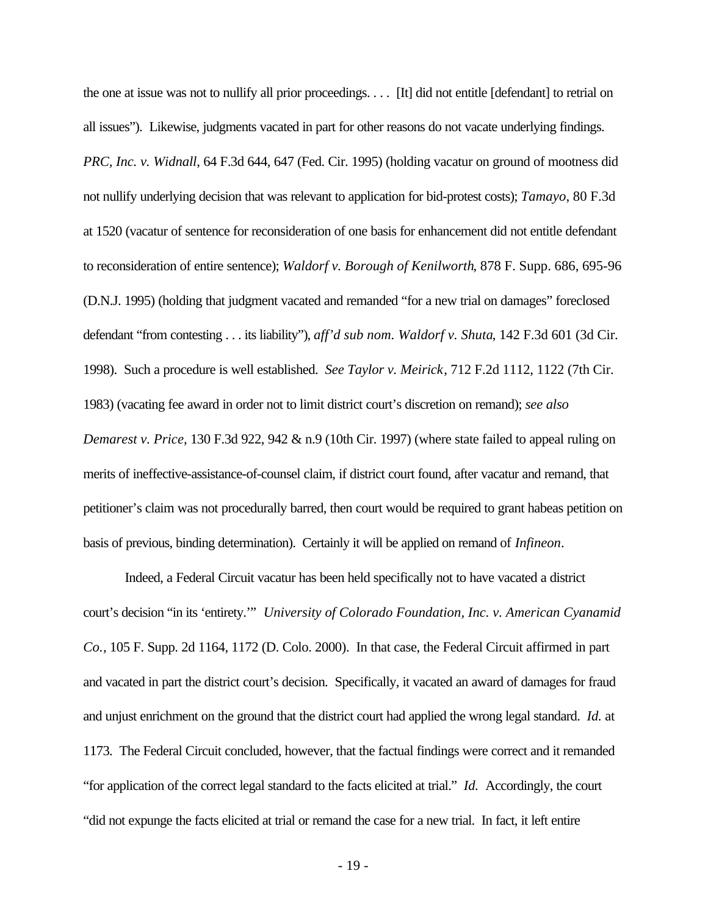the one at issue was not to nullify all prior proceedings. . . . [It] did not entitle [defendant] to retrial on all issues"). Likewise, judgments vacated in part for other reasons do not vacate underlying findings. *PRC, Inc. v. Widnall*, 64 F.3d 644, 647 (Fed. Cir. 1995) (holding vacatur on ground of mootness did not nullify underlying decision that was relevant to application for bid-protest costs); *Tamayo*, 80 F.3d at 1520 (vacatur of sentence for reconsideration of one basis for enhancement did not entitle defendant to reconsideration of entire sentence); *Waldorf v. Borough of Kenilworth*, 878 F. Supp. 686, 695-96 (D.N.J. 1995) (holding that judgment vacated and remanded "for a new trial on damages" foreclosed defendant "from contesting . . . its liability"), *aff'd sub nom. Waldorf v. Shuta*, 142 F.3d 601 (3d Cir. 1998). Such a procedure is well established. *See Taylor v. Meirick*, 712 F.2d 1112, 1122 (7th Cir. 1983) (vacating fee award in order not to limit district court's discretion on remand); *see also Demarest v. Price*, 130 F.3d 922, 942 & n.9 (10th Cir. 1997) (where state failed to appeal ruling on merits of ineffective-assistance-of-counsel claim, if district court found, after vacatur and remand, that petitioner's claim was not procedurally barred, then court would be required to grant habeas petition on basis of previous, binding determination). Certainly it will be applied on remand of *Infineon*.

Indeed, a Federal Circuit vacatur has been held specifically not to have vacated a district court's decision "in its 'entirety.'" *University of Colorado Foundation, Inc. v. American Cyanamid Co.*, 105 F. Supp. 2d 1164, 1172 (D. Colo. 2000). In that case, the Federal Circuit affirmed in part and vacated in part the district court's decision. Specifically, it vacated an award of damages for fraud and unjust enrichment on the ground that the district court had applied the wrong legal standard. *Id.* at 1173. The Federal Circuit concluded, however, that the factual findings were correct and it remanded "for application of the correct legal standard to the facts elicited at trial." *Id.* Accordingly, the court "did not expunge the facts elicited at trial or remand the case for a new trial. In fact, it left entire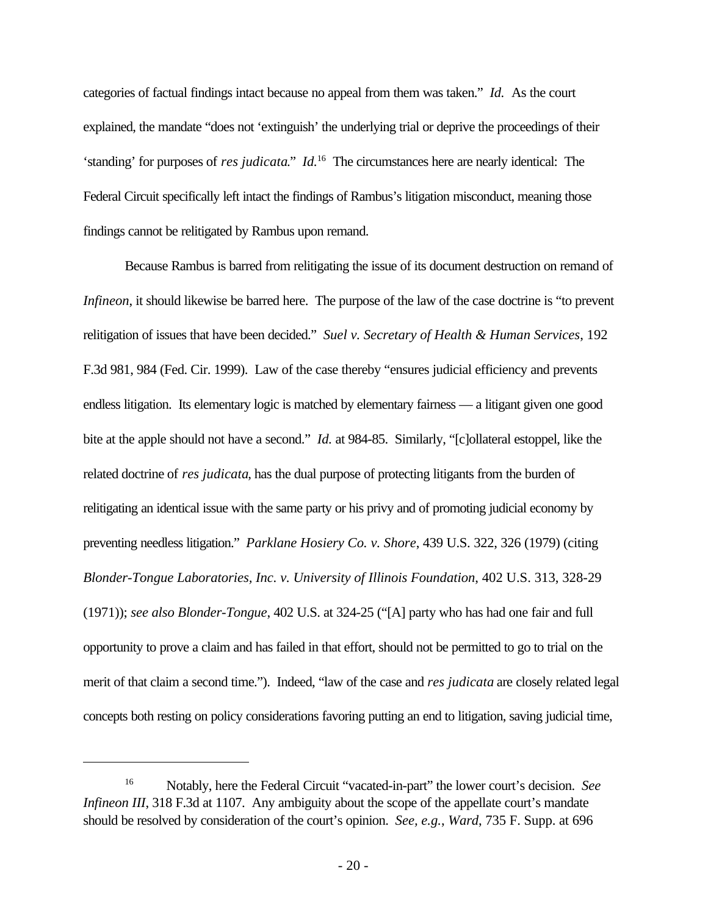categories of factual findings intact because no appeal from them was taken." *Id.* As the court explained, the mandate "does not 'extinguish' the underlying trial or deprive the proceedings of their 'standing' for purposes of *res judicata*." *Id.*<sup>16</sup> The circumstances here are nearly identical: The Federal Circuit specifically left intact the findings of Rambus's litigation misconduct, meaning those findings cannot be relitigated by Rambus upon remand.

Because Rambus is barred from relitigating the issue of its document destruction on remand of *Infineon*, it should likewise be barred here. The purpose of the law of the case doctrine is "to prevent" relitigation of issues that have been decided." *Suel v. Secretary of Health & Human Services*, 192 F.3d 981, 984 (Fed. Cir. 1999). Law of the case thereby "ensures judicial efficiency and prevents endless litigation. Its elementary logic is matched by elementary fairness — a litigant given one good bite at the apple should not have a second." *Id.* at 984-85. Similarly, "[c]ollateral estoppel, like the related doctrine of *res judicata*, has the dual purpose of protecting litigants from the burden of relitigating an identical issue with the same party or his privy and of promoting judicial economy by preventing needless litigation." *Parklane Hosiery Co. v. Shore*, 439 U.S. 322, 326 (1979) (citing *Blonder-Tongue Laboratories, Inc. v. University of Illinois Foundation*, 402 U.S. 313, 328-29 (1971)); *see also Blonder-Tongue*, 402 U.S. at 324-25 ("[A] party who has had one fair and full opportunity to prove a claim and has failed in that effort, should not be permitted to go to trial on the merit of that claim a second time."). Indeed, "law of the case and *res judicata* are closely related legal concepts both resting on policy considerations favoring putting an end to litigation, saving judicial time,

<sup>16</sup> Notably, here the Federal Circuit "vacated-in-part" the lower court's decision. *See Infineon III*, 318 F.3d at 1107. Any ambiguity about the scope of the appellate court's mandate should be resolved by consideration of the court's opinion. *See, e.g.*, *Ward*, 735 F. Supp. at 696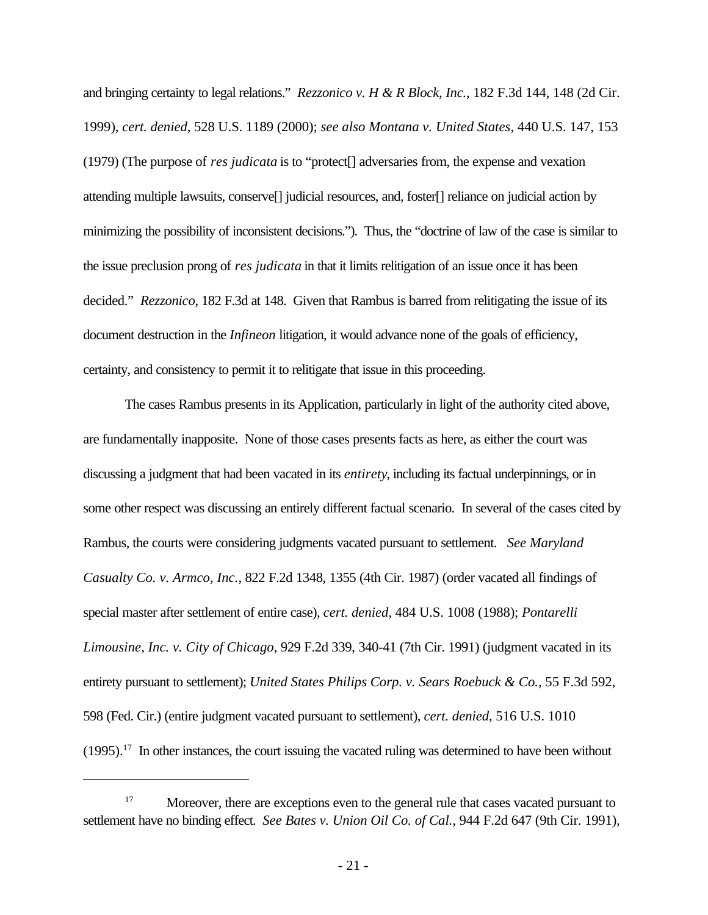and bringing certainty to legal relations." *Rezzonico v. H & R Block, Inc.*, 182 F.3d 144, 148 (2d Cir. 1999), *cert. denied*, 528 U.S. 1189 (2000); *see also Montana v. United States*, 440 U.S. 147, 153 (1979) (The purpose of *res judicata* is to "protect[] adversaries from, the expense and vexation attending multiple lawsuits, conserve[] judicial resources, and, foster[] reliance on judicial action by minimizing the possibility of inconsistent decisions."). Thus, the "doctrine of law of the case is similar to the issue preclusion prong of *res judicata* in that it limits relitigation of an issue once it has been decided." *Rezzonico*, 182 F.3d at 148. Given that Rambus is barred from relitigating the issue of its document destruction in the *Infineon* litigation, it would advance none of the goals of efficiency, certainty, and consistency to permit it to relitigate that issue in this proceeding.

The cases Rambus presents in its Application, particularly in light of the authority cited above, are fundamentally inapposite. None of those cases presents facts as here, as either the court was discussing a judgment that had been vacated in its *entirety*, including its factual underpinnings, or in some other respect was discussing an entirely different factual scenario. In several of the cases cited by Rambus, the courts were considering judgments vacated pursuant to settlement. *See Maryland Casualty Co. v. Armco, Inc.*, 822 F.2d 1348, 1355 (4th Cir. 1987) (order vacated all findings of special master after settlement of entire case), *cert. denied*, 484 U.S. 1008 (1988); *Pontarelli Limousine, Inc. v. City of Chicago*, 929 F.2d 339, 340-41 (7th Cir. 1991) (judgment vacated in its entirety pursuant to settlement); *United States Philips Corp. v. Sears Roebuck & Co.*, 55 F.3d 592, 598 (Fed. Cir.) (entire judgment vacated pursuant to settlement), *cert. denied*, 516 U.S. 1010  $(1995).$ <sup>17</sup> In other instances, the court issuing the vacated ruling was determined to have been without

<sup>&</sup>lt;sup>17</sup> Moreover, there are exceptions even to the general rule that cases vacated pursuant to settlement have no binding effect. *See Bates v. Union Oil Co. of Cal.*, 944 F.2d 647 (9th Cir. 1991),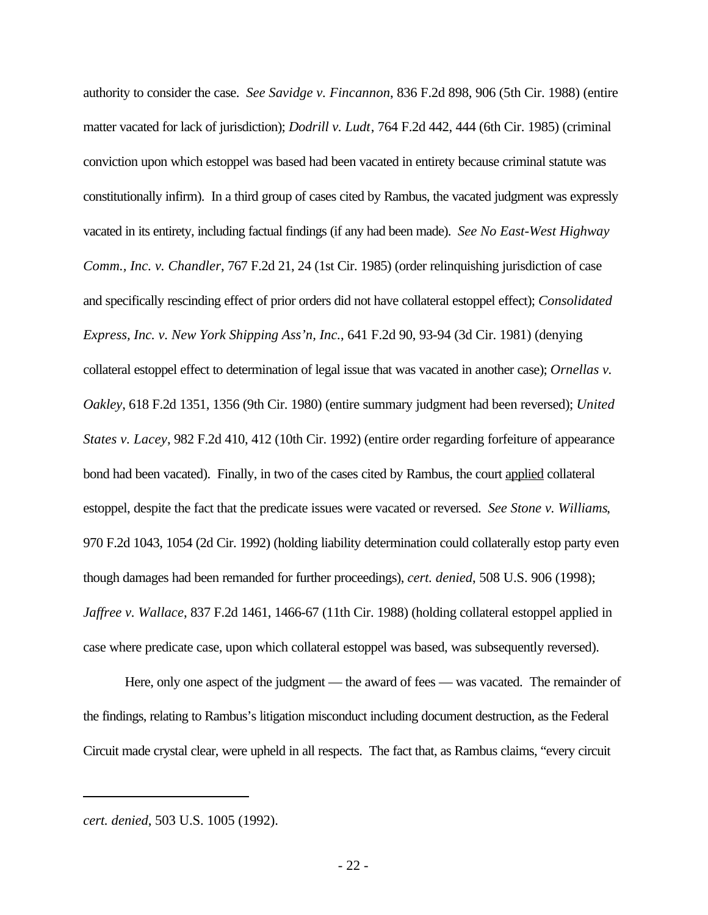authority to consider the case. *See Savidge v. Fincannon*, 836 F.2d 898, 906 (5th Cir. 1988) (entire matter vacated for lack of jurisdiction); *Dodrill v. Ludt*, 764 F.2d 442, 444 (6th Cir. 1985) (criminal conviction upon which estoppel was based had been vacated in entirety because criminal statute was constitutionally infirm). In a third group of cases cited by Rambus, the vacated judgment was expressly vacated in its entirety, including factual findings (if any had been made). *See No East-West Highway Comm., Inc. v. Chandler*, 767 F.2d 21, 24 (1st Cir. 1985) (order relinquishing jurisdiction of case and specifically rescinding effect of prior orders did not have collateral estoppel effect); *Consolidated Express, Inc. v. New York Shipping Ass'n, Inc.*, 641 F.2d 90, 93-94 (3d Cir. 1981) (denying collateral estoppel effect to determination of legal issue that was vacated in another case); *Ornellas v. Oakley*, 618 F.2d 1351, 1356 (9th Cir. 1980) (entire summary judgment had been reversed); *United States v. Lacey*, 982 F.2d 410, 412 (10th Cir. 1992) (entire order regarding forfeiture of appearance bond had been vacated). Finally, in two of the cases cited by Rambus, the court applied collateral estoppel, despite the fact that the predicate issues were vacated or reversed. *See Stone v. Williams*, 970 F.2d 1043, 1054 (2d Cir. 1992) (holding liability determination could collaterally estop party even though damages had been remanded for further proceedings), *cert. denied*, 508 U.S. 906 (1998); *Jaffree v. Wallace*, 837 F.2d 1461, 1466-67 (11th Cir. 1988) (holding collateral estoppel applied in case where predicate case, upon which collateral estoppel was based, was subsequently reversed).

Here, only one aspect of the judgment — the award of fees — was vacated. The remainder of the findings, relating to Rambus's litigation misconduct including document destruction, as the Federal Circuit made crystal clear, were upheld in all respects. The fact that, as Rambus claims, "every circuit

*cert. denied*, 503 U.S. 1005 (1992).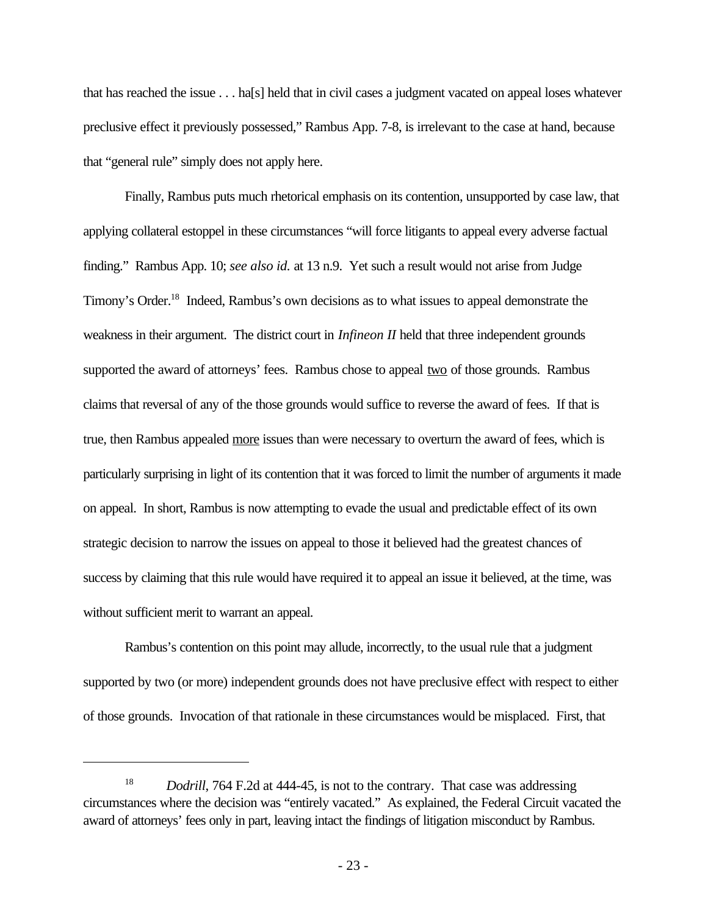that has reached the issue . . . ha[s] held that in civil cases a judgment vacated on appeal loses whatever preclusive effect it previously possessed," Rambus App. 7-8, is irrelevant to the case at hand, because that "general rule" simply does not apply here.

Finally, Rambus puts much rhetorical emphasis on its contention, unsupported by case law, that applying collateral estoppel in these circumstances "will force litigants to appeal every adverse factual finding." Rambus App. 10; *see also id.* at 13 n.9. Yet such a result would not arise from Judge Timony's Order.<sup>18</sup> Indeed, Rambus's own decisions as to what issues to appeal demonstrate the weakness in their argument. The district court in *Infineon II* held that three independent grounds supported the award of attorneys' fees. Rambus chose to appeal two of those grounds. Rambus claims that reversal of any of the those grounds would suffice to reverse the award of fees. If that is true, then Rambus appealed more issues than were necessary to overturn the award of fees, which is particularly surprising in light of its contention that it was forced to limit the number of arguments it made on appeal. In short, Rambus is now attempting to evade the usual and predictable effect of its own strategic decision to narrow the issues on appeal to those it believed had the greatest chances of success by claiming that this rule would have required it to appeal an issue it believed, at the time, was without sufficient merit to warrant an appeal.

Rambus's contention on this point may allude, incorrectly, to the usual rule that a judgment supported by two (or more) independent grounds does not have preclusive effect with respect to either of those grounds. Invocation of that rationale in these circumstances would be misplaced. First, that

<sup>&</sup>lt;sup>18</sup> *Dodrill*, 764 F.2d at 444-45, is not to the contrary. That case was addressing circumstances where the decision was "entirely vacated." As explained, the Federal Circuit vacated the award of attorneys' fees only in part, leaving intact the findings of litigation misconduct by Rambus.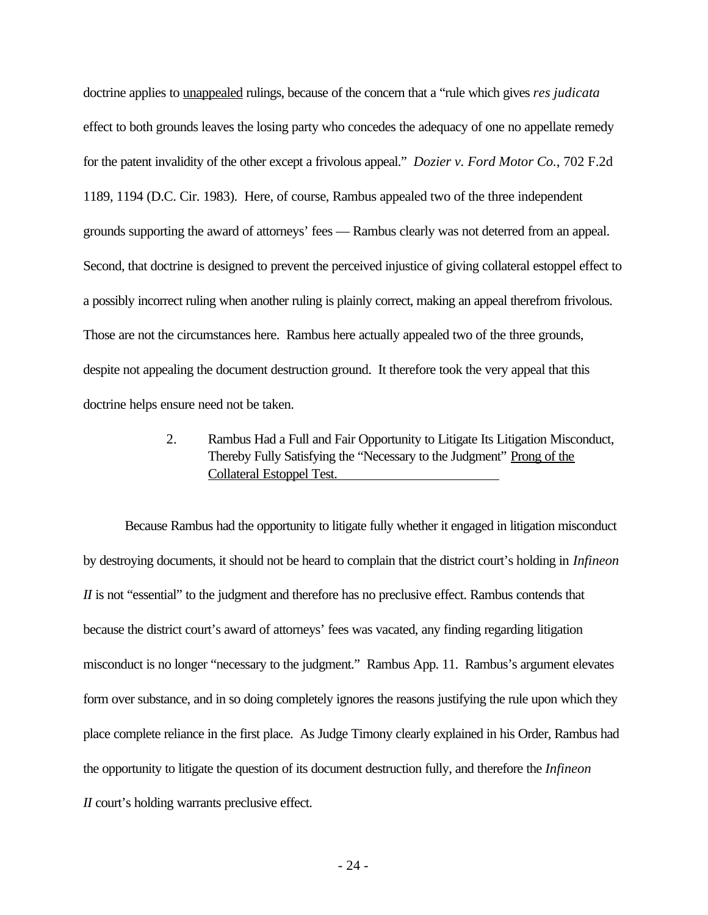doctrine applies to unappealed rulings, because of the concern that a "rule which gives *res judicata* effect to both grounds leaves the losing party who concedes the adequacy of one no appellate remedy for the patent invalidity of the other except a frivolous appeal." *Dozier v. Ford Motor Co.*, 702 F.2d 1189, 1194 (D.C. Cir. 1983). Here, of course, Rambus appealed two of the three independent grounds supporting the award of attorneys' fees — Rambus clearly was not deterred from an appeal. Second, that doctrine is designed to prevent the perceived injustice of giving collateral estoppel effect to a possibly incorrect ruling when another ruling is plainly correct, making an appeal therefrom frivolous. Those are not the circumstances here. Rambus here actually appealed two of the three grounds, despite not appealing the document destruction ground. It therefore took the very appeal that this doctrine helps ensure need not be taken.

# 2. Rambus Had a Full and Fair Opportunity to Litigate Its Litigation Misconduct, Thereby Fully Satisfying the "Necessary to the Judgment" Prong of the Collateral Estoppel Test.

Because Rambus had the opportunity to litigate fully whether it engaged in litigation misconduct by destroying documents, it should not be heard to complain that the district court's holding in *Infineon II* is not "essential" to the judgment and therefore has no preclusive effect. Rambus contends that because the district court's award of attorneys' fees was vacated, any finding regarding litigation misconduct is no longer "necessary to the judgment." Rambus App. 11. Rambus's argument elevates form over substance, and in so doing completely ignores the reasons justifying the rule upon which they place complete reliance in the first place. As Judge Timony clearly explained in his Order, Rambus had the opportunity to litigate the question of its document destruction fully, and therefore the *Infineon II* court's holding warrants preclusive effect.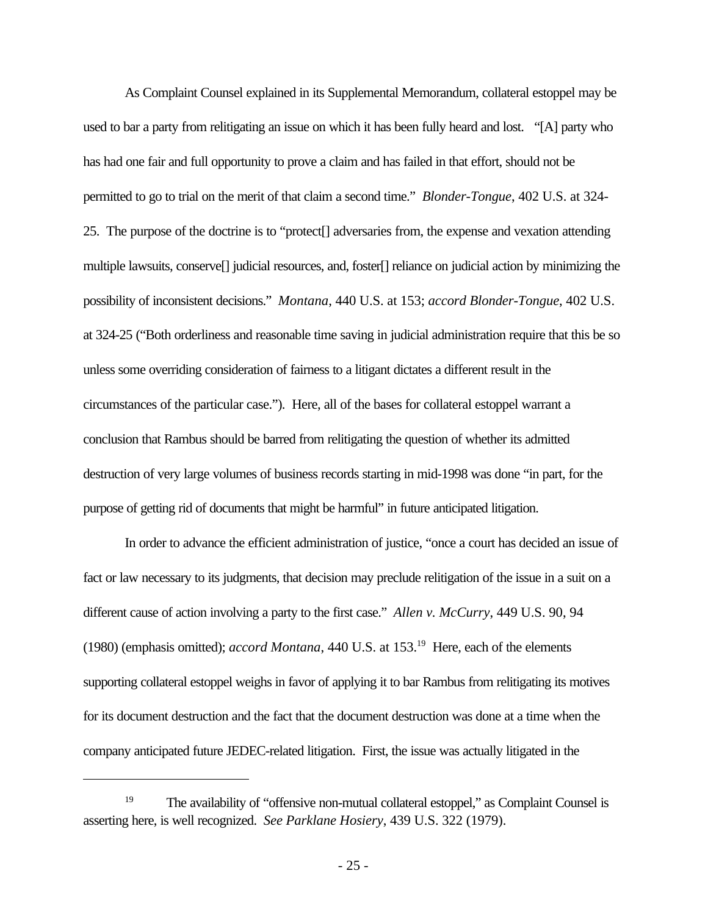As Complaint Counsel explained in its Supplemental Memorandum, collateral estoppel may be used to bar a party from relitigating an issue on which it has been fully heard and lost. "[A] party who has had one fair and full opportunity to prove a claim and has failed in that effort, should not be permitted to go to trial on the merit of that claim a second time." *Blonder-Tongue*, 402 U.S. at 324- 25. The purpose of the doctrine is to "protect[] adversaries from, the expense and vexation attending multiple lawsuits, conserve[] judicial resources, and, foster[] reliance on judicial action by minimizing the possibility of inconsistent decisions." *Montana*, 440 U.S. at 153; *accord Blonder-Tongue*, 402 U.S. at 324-25 ("Both orderliness and reasonable time saving in judicial administration require that this be so unless some overriding consideration of fairness to a litigant dictates a different result in the circumstances of the particular case."). Here, all of the bases for collateral estoppel warrant a conclusion that Rambus should be barred from relitigating the question of whether its admitted destruction of very large volumes of business records starting in mid-1998 was done "in part, for the purpose of getting rid of documents that might be harmful" in future anticipated litigation.

In order to advance the efficient administration of justice, "once a court has decided an issue of fact or law necessary to its judgments, that decision may preclude relitigation of the issue in a suit on a different cause of action involving a party to the first case." *Allen v. McCurry*, 449 U.S. 90, 94 (1980) (emphasis omitted); *accord Montana*, 440 U.S. at 153.<sup>19</sup> Here, each of the elements supporting collateral estoppel weighs in favor of applying it to bar Rambus from relitigating its motives for its document destruction and the fact that the document destruction was done at a time when the company anticipated future JEDEC-related litigation. First, the issue was actually litigated in the

<sup>&</sup>lt;sup>19</sup> The availability of "offensive non-mutual collateral estoppel," as Complaint Counsel is asserting here, is well recognized. *See Parklane Hosiery*, 439 U.S. 322 (1979).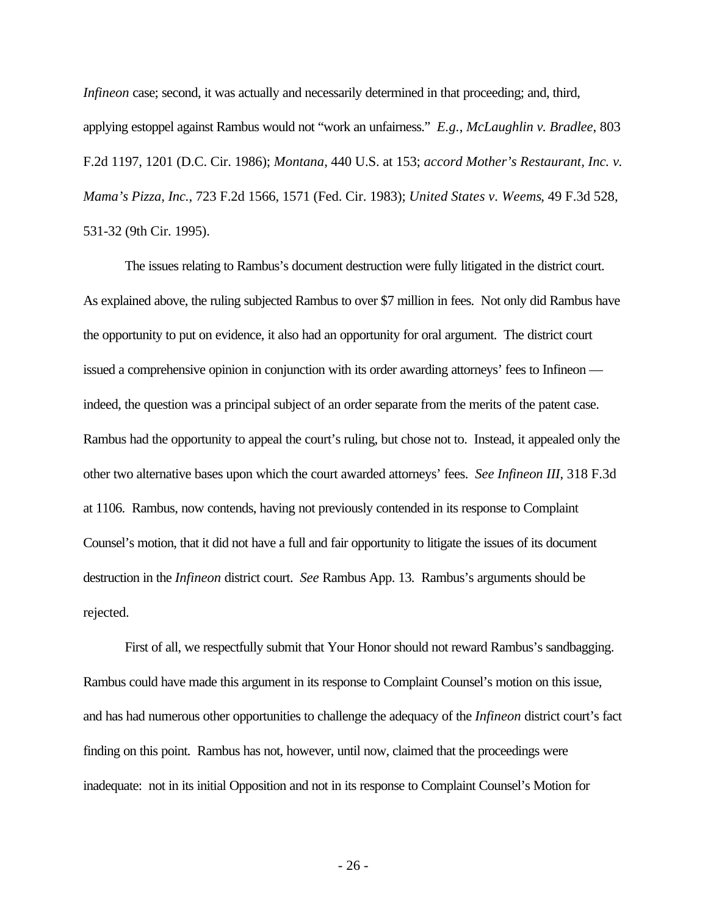*Infineon* case; second, it was actually and necessarily determined in that proceeding; and, third, applying estoppel against Rambus would not "work an unfairness." *E.g.*, *McLaughlin v. Bradlee*, 803 F.2d 1197, 1201 (D.C. Cir. 1986); *Montana*, 440 U.S. at 153; *accord Mother's Restaurant, Inc. v. Mama's Pizza, Inc.*, 723 F.2d 1566, 1571 (Fed. Cir. 1983); *United States v. Weems*, 49 F.3d 528, 531-32 (9th Cir. 1995).

The issues relating to Rambus's document destruction were fully litigated in the district court. As explained above, the ruling subjected Rambus to over \$7 million in fees. Not only did Rambus have the opportunity to put on evidence, it also had an opportunity for oral argument. The district court issued a comprehensive opinion in conjunction with its order awarding attorneys' fees to Infineon indeed, the question was a principal subject of an order separate from the merits of the patent case. Rambus had the opportunity to appeal the court's ruling, but chose not to. Instead, it appealed only the other two alternative bases upon which the court awarded attorneys' fees. *See Infineon III*, 318 F.3d at 1106. Rambus, now contends, having not previously contended in its response to Complaint Counsel's motion, that it did not have a full and fair opportunity to litigate the issues of its document destruction in the *Infineon* district court. *See* Rambus App. 13. Rambus's arguments should be rejected.

First of all, we respectfully submit that Your Honor should not reward Rambus's sandbagging. Rambus could have made this argument in its response to Complaint Counsel's motion on this issue, and has had numerous other opportunities to challenge the adequacy of the *Infineon* district court's fact finding on this point. Rambus has not, however, until now, claimed that the proceedings were inadequate: not in its initial Opposition and not in its response to Complaint Counsel's Motion for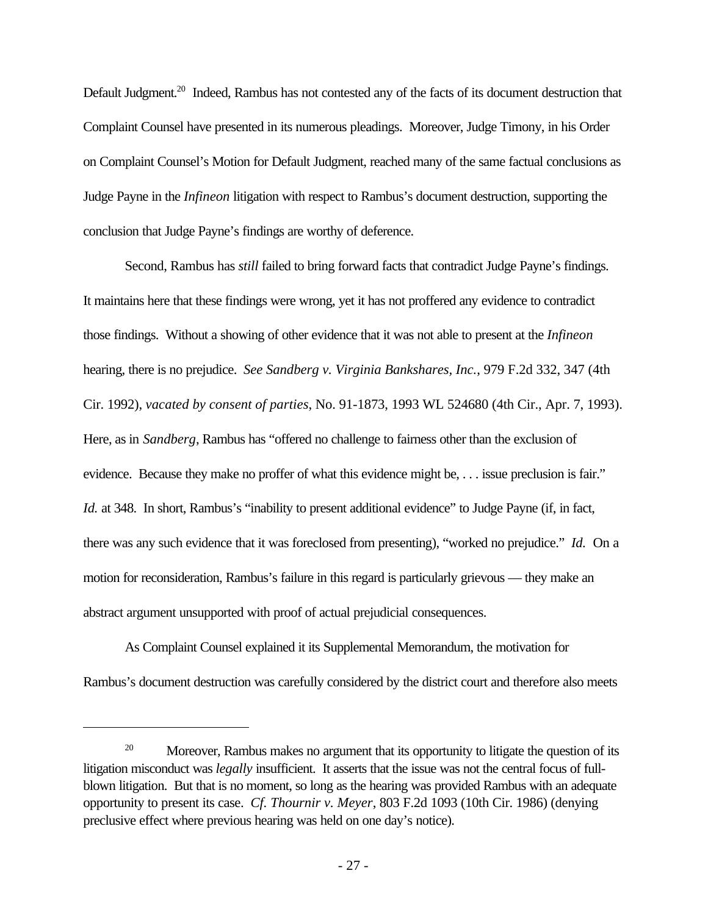Default Judgment.<sup>20</sup> Indeed, Rambus has not contested any of the facts of its document destruction that Complaint Counsel have presented in its numerous pleadings. Moreover, Judge Timony, in his Order on Complaint Counsel's Motion for Default Judgment, reached many of the same factual conclusions as Judge Payne in the *Infineon* litigation with respect to Rambus's document destruction, supporting the conclusion that Judge Payne's findings are worthy of deference.

Second, Rambus has *still* failed to bring forward facts that contradict Judge Payne's findings. It maintains here that these findings were wrong, yet it has not proffered any evidence to contradict those findings. Without a showing of other evidence that it was not able to present at the *Infineon* hearing, there is no prejudice. *See Sandberg v. Virginia Bankshares, Inc.*, 979 F.2d 332, 347 (4th Cir. 1992), *vacated by consent of parties*, No. 91-1873, 1993 WL 524680 (4th Cir., Apr. 7, 1993). Here, as in *Sandberg*, Rambus has "offered no challenge to fairness other than the exclusion of evidence. Because they make no proffer of what this evidence might be, . . . issue preclusion is fair." *Id.* at 348. In short, Rambus's "inability to present additional evidence" to Judge Payne (if, in fact, there was any such evidence that it was foreclosed from presenting), "worked no prejudice." *Id.* On a motion for reconsideration, Rambus's failure in this regard is particularly grievous — they make an abstract argument unsupported with proof of actual prejudicial consequences.

As Complaint Counsel explained it its Supplemental Memorandum, the motivation for Rambus's document destruction was carefully considered by the district court and therefore also meets

<sup>&</sup>lt;sup>20</sup> Moreover, Rambus makes no argument that its opportunity to litigate the question of its litigation misconduct was *legally* insufficient. It asserts that the issue was not the central focus of fullblown litigation. But that is no moment, so long as the hearing was provided Rambus with an adequate opportunity to present its case. *Cf. Thournir v. Meyer*, 803 F.2d 1093 (10th Cir. 1986) (denying preclusive effect where previous hearing was held on one day's notice).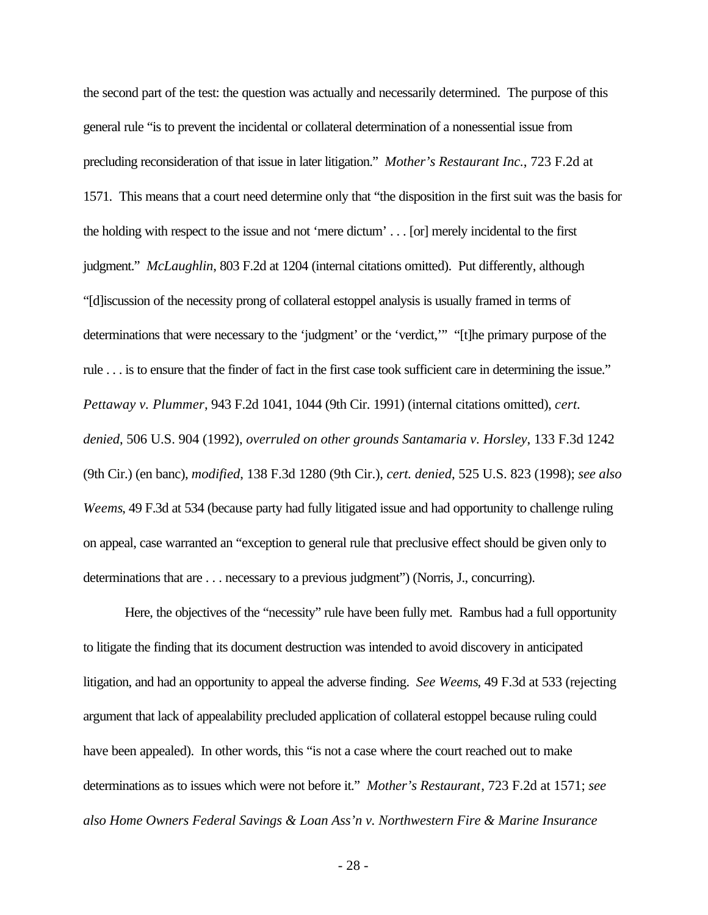the second part of the test: the question was actually and necessarily determined. The purpose of this general rule "is to prevent the incidental or collateral determination of a nonessential issue from precluding reconsideration of that issue in later litigation." *Mother's Restaurant Inc.*, 723 F.2d at 1571. This means that a court need determine only that "the disposition in the first suit was the basis for the holding with respect to the issue and not 'mere dictum' . . . [or] merely incidental to the first judgment." *McLaughlin*, 803 F.2d at 1204 (internal citations omitted). Put differently, although "[d]iscussion of the necessity prong of collateral estoppel analysis is usually framed in terms of determinations that were necessary to the 'judgment' or the 'verdict,'" "[t]he primary purpose of the rule . . . is to ensure that the finder of fact in the first case took sufficient care in determining the issue." *Pettaway v. Plummer*, 943 F.2d 1041, 1044 (9th Cir. 1991) (internal citations omitted), *cert. denied*, 506 U.S. 904 (1992), *overruled on other grounds Santamaria v. Horsley*, 133 F.3d 1242 (9th Cir.) (en banc), *modified*, 138 F.3d 1280 (9th Cir.), *cert. denied*, 525 U.S. 823 (1998); *see also Weems*, 49 F.3d at 534 (because party had fully litigated issue and had opportunity to challenge ruling on appeal, case warranted an "exception to general rule that preclusive effect should be given only to determinations that are . . . necessary to a previous judgment") (Norris, J., concurring).

Here, the objectives of the "necessity" rule have been fully met. Rambus had a full opportunity to litigate the finding that its document destruction was intended to avoid discovery in anticipated litigation, and had an opportunity to appeal the adverse finding. *See Weems*, 49 F.3d at 533 (rejecting argument that lack of appealability precluded application of collateral estoppel because ruling could have been appealed). In other words, this "is not a case where the court reached out to make determinations as to issues which were not before it." *Mother's Restaurant*, 723 F.2d at 1571; *see also Home Owners Federal Savings & Loan Ass'n v. Northwestern Fire & Marine Insurance*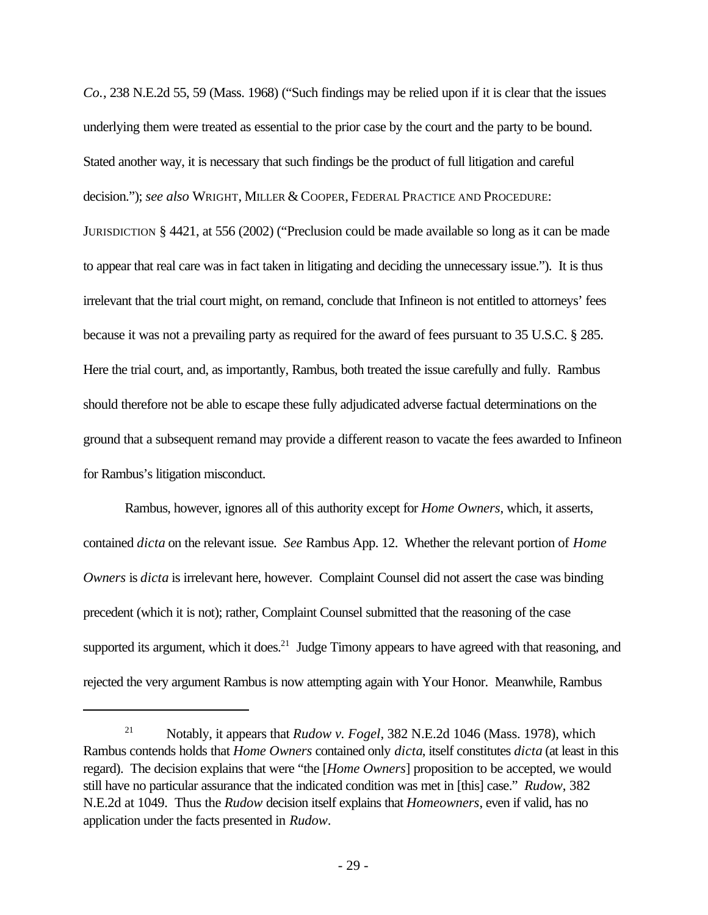*Co.*, 238 N.E.2d 55, 59 (Mass. 1968) ("Such findings may be relied upon if it is clear that the issues underlying them were treated as essential to the prior case by the court and the party to be bound. Stated another way, it is necessary that such findings be the product of full litigation and careful decision."); *see also* WRIGHT, MILLER & COOPER, FEDERAL PRACTICE AND PROCEDURE: JURISDICTION § 4421, at 556 (2002) ("Preclusion could be made available so long as it can be made to appear that real care was in fact taken in litigating and deciding the unnecessary issue."). It is thus irrelevant that the trial court might, on remand, conclude that Infineon is not entitled to attorneys' fees because it was not a prevailing party as required for the award of fees pursuant to 35 U.S.C. § 285. Here the trial court, and, as importantly, Rambus, both treated the issue carefully and fully. Rambus should therefore not be able to escape these fully adjudicated adverse factual determinations on the ground that a subsequent remand may provide a different reason to vacate the fees awarded to Infineon for Rambus's litigation misconduct.

Rambus, however, ignores all of this authority except for *Home Owners*, which, it asserts, contained *dicta* on the relevant issue. *See* Rambus App. 12. Whether the relevant portion of *Home Owners* is *dicta* is irrelevant here, however. Complaint Counsel did not assert the case was binding precedent (which it is not); rather, Complaint Counsel submitted that the reasoning of the case supported its argument, which it does.<sup>21</sup> Judge Timony appears to have agreed with that reasoning, and rejected the very argument Rambus is now attempting again with Your Honor. Meanwhile, Rambus

<sup>21</sup> Notably, it appears that *Rudow v. Fogel*, 382 N.E.2d 1046 (Mass. 1978), which Rambus contends holds that *Home Owners* contained only *dicta*, itself constitutes *dicta* (at least in this regard). The decision explains that were "the [*Home Owners*] proposition to be accepted, we would still have no particular assurance that the indicated condition was met in [this] case." *Rudow*, 382 N.E.2d at 1049. Thus the *Rudow* decision itself explains that *Homeowners*, even if valid, has no application under the facts presented in *Rudow*.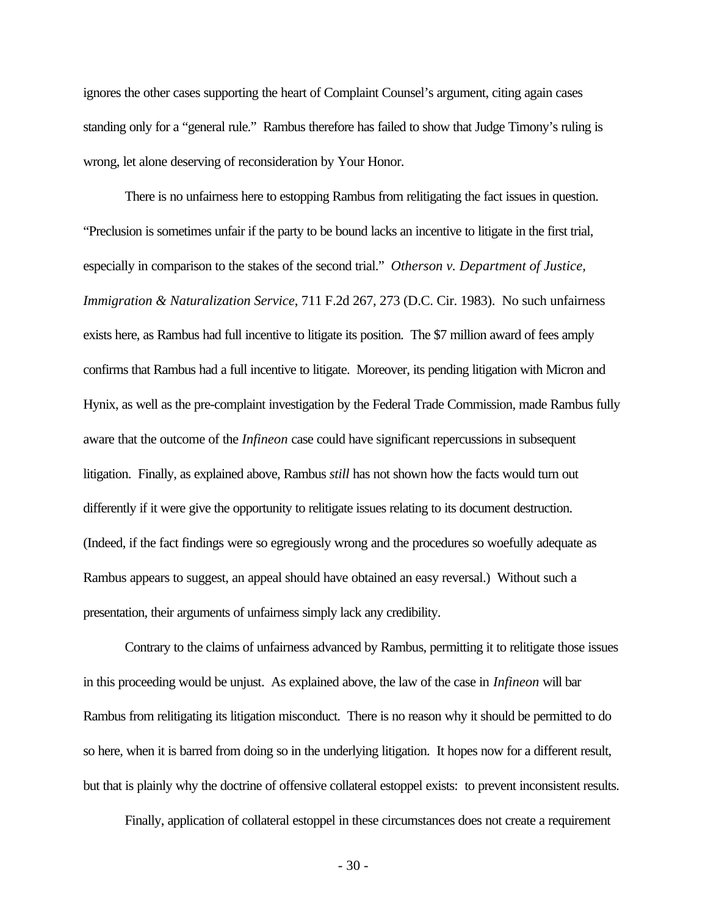ignores the other cases supporting the heart of Complaint Counsel's argument, citing again cases standing only for a "general rule." Rambus therefore has failed to show that Judge Timony's ruling is wrong, let alone deserving of reconsideration by Your Honor.

There is no unfairness here to estopping Rambus from relitigating the fact issues in question. "Preclusion is sometimes unfair if the party to be bound lacks an incentive to litigate in the first trial, especially in comparison to the stakes of the second trial." *Otherson v. Department of Justice, Immigration & Naturalization Service*, 711 F.2d 267, 273 (D.C. Cir. 1983). No such unfairness exists here, as Rambus had full incentive to litigate its position. The \$7 million award of fees amply confirms that Rambus had a full incentive to litigate. Moreover, its pending litigation with Micron and Hynix, as well as the pre-complaint investigation by the Federal Trade Commission, made Rambus fully aware that the outcome of the *Infineon* case could have significant repercussions in subsequent litigation. Finally, as explained above, Rambus *still* has not shown how the facts would turn out differently if it were give the opportunity to relitigate issues relating to its document destruction. (Indeed, if the fact findings were so egregiously wrong and the procedures so woefully adequate as Rambus appears to suggest, an appeal should have obtained an easy reversal.) Without such a presentation, their arguments of unfairness simply lack any credibility.

Contrary to the claims of unfairness advanced by Rambus, permitting it to relitigate those issues in this proceeding would be unjust. As explained above, the law of the case in *Infineon* will bar Rambus from relitigating its litigation misconduct. There is no reason why it should be permitted to do so here, when it is barred from doing so in the underlying litigation. It hopes now for a different result, but that is plainly why the doctrine of offensive collateral estoppel exists: to prevent inconsistent results.

Finally, application of collateral estoppel in these circumstances does not create a requirement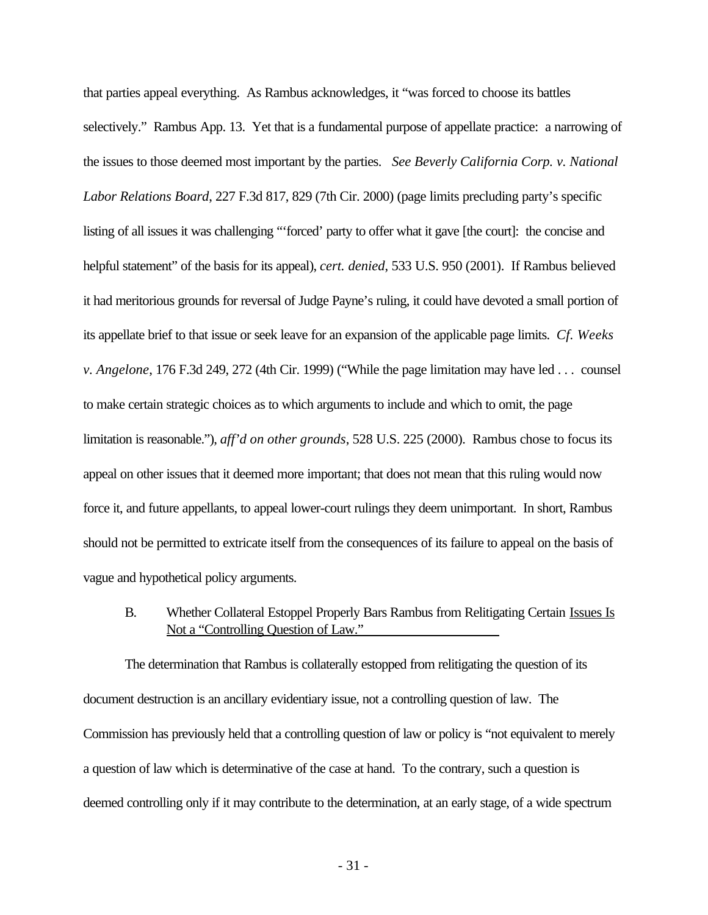that parties appeal everything. As Rambus acknowledges, it "was forced to choose its battles selectively." Rambus App. 13. Yet that is a fundamental purpose of appellate practice: a narrowing of the issues to those deemed most important by the parties. *See Beverly California Corp. v. National Labor Relations Board*, 227 F.3d 817, 829 (7th Cir. 2000) (page limits precluding party's specific listing of all issues it was challenging "'forced' party to offer what it gave [the court]: the concise and helpful statement" of the basis for its appeal), *cert. denied*, 533 U.S. 950 (2001). If Rambus believed it had meritorious grounds for reversal of Judge Payne's ruling, it could have devoted a small portion of its appellate brief to that issue or seek leave for an expansion of the applicable page limits. *Cf. Weeks v. Angelone*, 176 F.3d 249, 272 (4th Cir. 1999) ("While the page limitation may have led . . . counsel to make certain strategic choices as to which arguments to include and which to omit, the page limitation is reasonable."), *aff'd on other grounds*, 528 U.S. 225 (2000). Rambus chose to focus its appeal on other issues that it deemed more important; that does not mean that this ruling would now force it, and future appellants, to appeal lower-court rulings they deem unimportant. In short, Rambus should not be permitted to extricate itself from the consequences of its failure to appeal on the basis of vague and hypothetical policy arguments.

B. Whether Collateral Estoppel Properly Bars Rambus from Relitigating Certain Issues Is Not a "Controlling Question of Law."

The determination that Rambus is collaterally estopped from relitigating the question of its document destruction is an ancillary evidentiary issue, not a controlling question of law. The Commission has previously held that a controlling question of law or policy is "not equivalent to merely a question of law which is determinative of the case at hand. To the contrary, such a question is deemed controlling only if it may contribute to the determination, at an early stage, of a wide spectrum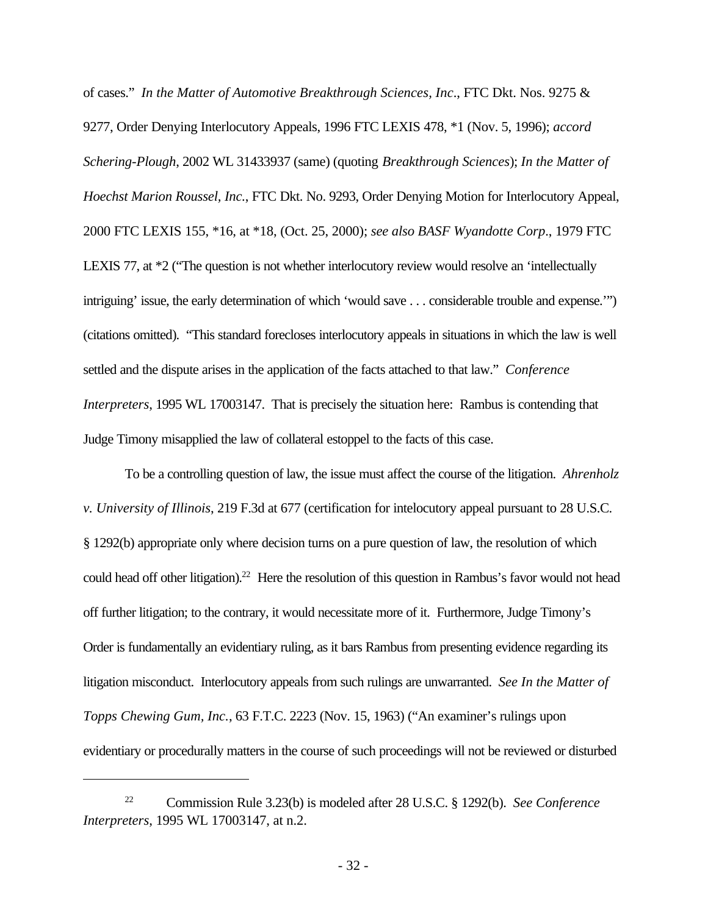of cases." *In the Matter of Automotive Breakthrough Sciences, Inc*., FTC Dkt. Nos. 9275 & 9277, Order Denying Interlocutory Appeals, 1996 FTC LEXIS 478, \*1 (Nov. 5, 1996); *accord Schering-Plough*, 2002 WL 31433937 (same) (quoting *Breakthrough Sciences*); *In the Matter of Hoechst Marion Roussel, Inc.*, FTC Dkt. No. 9293, Order Denying Motion for Interlocutory Appeal, 2000 FTC LEXIS 155, \*16, at \*18, (Oct. 25, 2000); *see also BASF Wyandotte Corp*., 1979 FTC LEXIS 77, at  $*2$  ("The question is not whether interlocutory review would resolve an 'intellectually intriguing' issue, the early determination of which 'would save . . . considerable trouble and expense.'") (citations omitted). "This standard forecloses interlocutory appeals in situations in which the law is well settled and the dispute arises in the application of the facts attached to that law." *Conference Interpreters*, 1995 WL 17003147. That is precisely the situation here: Rambus is contending that Judge Timony misapplied the law of collateral estoppel to the facts of this case.

To be a controlling question of law, the issue must affect the course of the litigation. *Ahrenholz v. University of Illinois*, 219 F.3d at 677 (certification for intelocutory appeal pursuant to 28 U.S.C. § 1292(b) appropriate only where decision turns on a pure question of law, the resolution of which could head off other litigation).<sup>22</sup> Here the resolution of this question in Rambus's favor would not head off further litigation; to the contrary, it would necessitate more of it. Furthermore, Judge Timony's Order is fundamentally an evidentiary ruling, as it bars Rambus from presenting evidence regarding its litigation misconduct. Interlocutory appeals from such rulings are unwarranted. *See In the Matter of Topps Chewing Gum, Inc.*, 63 F.T.C. 2223 (Nov. 15, 1963) ("An examiner's rulings upon evidentiary or procedurally matters in the course of such proceedings will not be reviewed or disturbed

<sup>22</sup> Commission Rule 3.23(b) is modeled after 28 U.S.C. § 1292(b). *See Conference Interpreters*, 1995 WL 17003147, at n.2.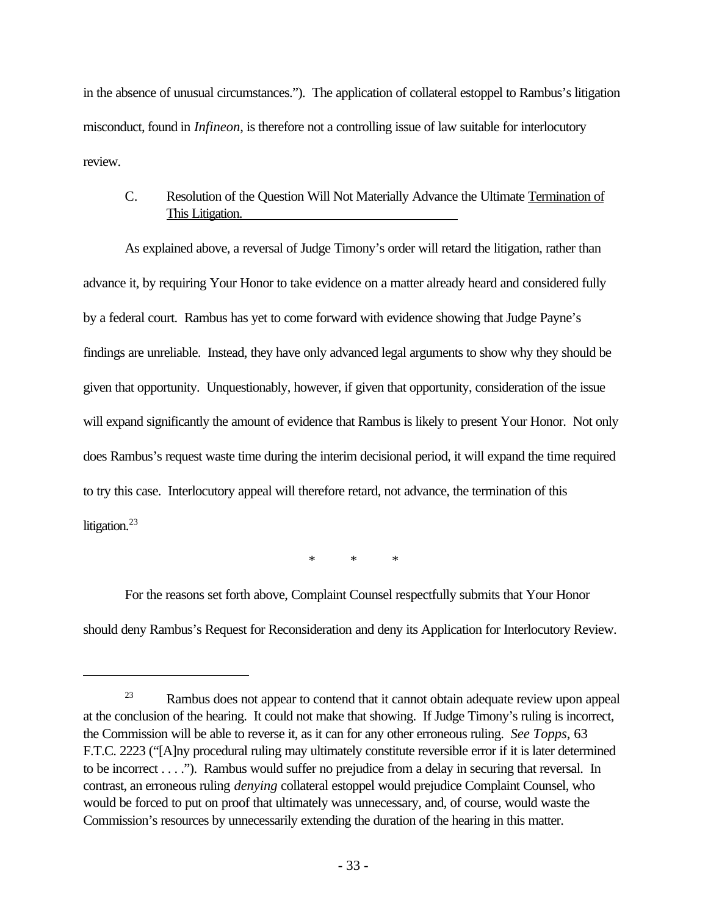in the absence of unusual circumstances."). The application of collateral estoppel to Rambus's litigation misconduct, found in *Infineon*, is therefore not a controlling issue of law suitable for interlocutory review.

# C. Resolution of the Question Will Not Materially Advance the Ultimate Termination of This Litigation.

As explained above, a reversal of Judge Timony's order will retard the litigation, rather than advance it, by requiring Your Honor to take evidence on a matter already heard and considered fully by a federal court. Rambus has yet to come forward with evidence showing that Judge Payne's findings are unreliable. Instead, they have only advanced legal arguments to show why they should be given that opportunity. Unquestionably, however, if given that opportunity, consideration of the issue will expand significantly the amount of evidence that Rambus is likely to present Your Honor. Not only does Rambus's request waste time during the interim decisional period, it will expand the time required to try this case. Interlocutory appeal will therefore retard, not advance, the termination of this litigation.<sup>23</sup>

\* \* \*

For the reasons set forth above, Complaint Counsel respectfully submits that Your Honor should deny Rambus's Request for Reconsideration and deny its Application for Interlocutory Review.

<sup>&</sup>lt;sup>23</sup> Rambus does not appear to contend that it cannot obtain adequate review upon appeal at the conclusion of the hearing. It could not make that showing. If Judge Timony's ruling is incorrect, the Commission will be able to reverse it, as it can for any other erroneous ruling. *See Topps*, 63 F.T.C. 2223 ("[A]ny procedural ruling may ultimately constitute reversible error if it is later determined to be incorrect . . . ."). Rambus would suffer no prejudice from a delay in securing that reversal. In contrast, an erroneous ruling *denying* collateral estoppel would prejudice Complaint Counsel, who would be forced to put on proof that ultimately was unnecessary, and, of course, would waste the Commission's resources by unnecessarily extending the duration of the hearing in this matter.